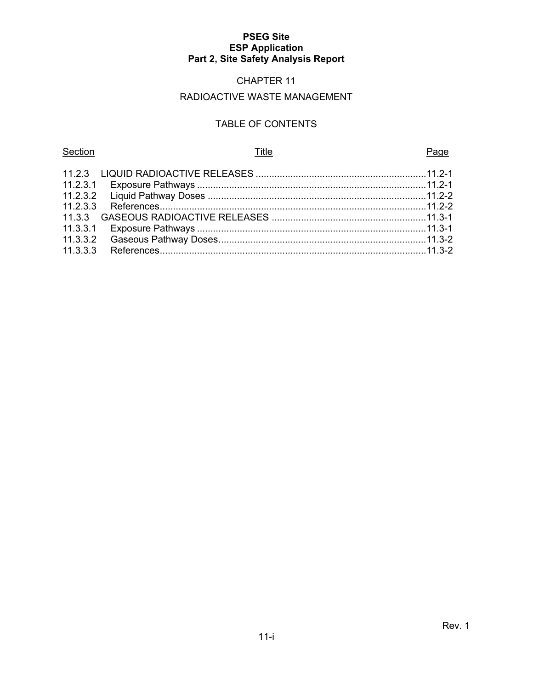# CHAPTER 11

# RADIOACTIVE WASTE MANAGEMENT

# TABLE OF CONTENTS

#### Section **Example 2** Page 2 Page 3 Page 3 Page 3 Page 3 Page 3 Page 3 Page 3 Page 3 Page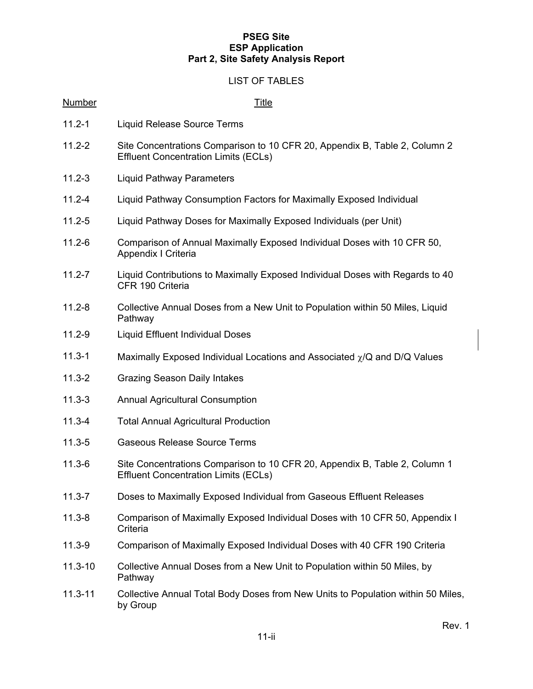# LIST OF TABLES

| <b>Number</b> | <b>Title</b>                                                                                                              |
|---------------|---------------------------------------------------------------------------------------------------------------------------|
| $11.2 - 1$    | Liquid Release Source Terms                                                                                               |
| $11.2 - 2$    | Site Concentrations Comparison to 10 CFR 20, Appendix B, Table 2, Column 2<br><b>Effluent Concentration Limits (ECLs)</b> |
| $11.2 - 3$    | <b>Liquid Pathway Parameters</b>                                                                                          |
| $11.2 - 4$    | Liquid Pathway Consumption Factors for Maximally Exposed Individual                                                       |
| $11.2 - 5$    | Liquid Pathway Doses for Maximally Exposed Individuals (per Unit)                                                         |
| $11.2 - 6$    | Comparison of Annual Maximally Exposed Individual Doses with 10 CFR 50,<br>Appendix I Criteria                            |
| $11.2 - 7$    | Liquid Contributions to Maximally Exposed Individual Doses with Regards to 40<br>CFR 190 Criteria                         |
| $11.2 - 8$    | Collective Annual Doses from a New Unit to Population within 50 Miles, Liquid<br>Pathway                                  |
| $11.2 - 9$    | Liquid Effluent Individual Doses                                                                                          |
| $11.3 - 1$    | Maximally Exposed Individual Locations and Associated $\chi$ /Q and D/Q Values                                            |
| $11.3 - 2$    | <b>Grazing Season Daily Intakes</b>                                                                                       |
| $11.3 - 3$    | <b>Annual Agricultural Consumption</b>                                                                                    |
| $11.3 - 4$    | <b>Total Annual Agricultural Production</b>                                                                               |
| $11.3 - 5$    | <b>Gaseous Release Source Terms</b>                                                                                       |
| $11.3 - 6$    | Site Concentrations Comparison to 10 CFR 20, Appendix B, Table 2, Column 1<br><b>Effluent Concentration Limits (ECLs)</b> |
| $11.3 - 7$    | Doses to Maximally Exposed Individual from Gaseous Effluent Releases                                                      |
| $11.3 - 8$    | Comparison of Maximally Exposed Individual Doses with 10 CFR 50, Appendix I<br>Criteria                                   |
| $11.3 - 9$    | Comparison of Maximally Exposed Individual Doses with 40 CFR 190 Criteria                                                 |
| $11.3 - 10$   | Collective Annual Doses from a New Unit to Population within 50 Miles, by<br>Pathway                                      |
| $11.3 - 11$   | Collective Annual Total Body Doses from New Units to Population within 50 Miles,<br>by Group                              |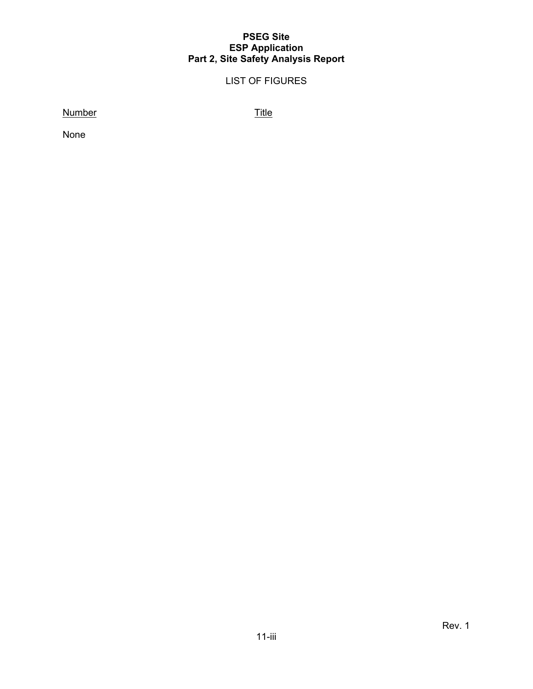# LIST OF FIGURES

Number Title

None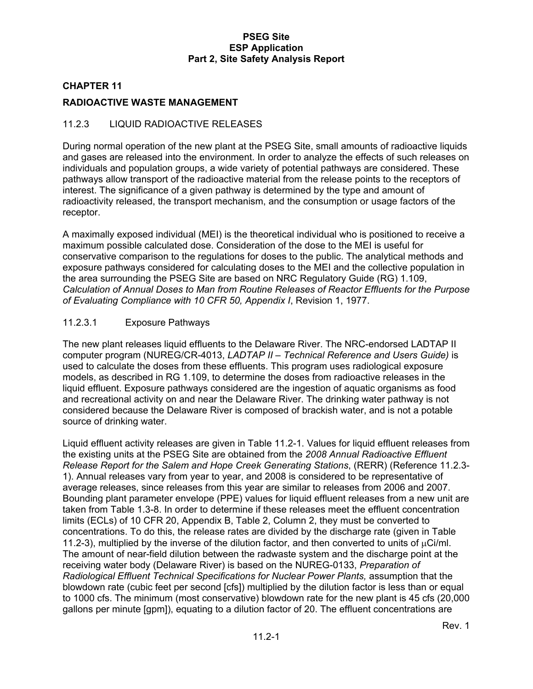## **CHAPTER 11**

# **RADIOACTIVE WASTE MANAGEMENT**

# 11.2.3 LIQUID RADIOACTIVE RELEASES

During normal operation of the new plant at the PSEG Site, small amounts of radioactive liquids and gases are released into the environment. In order to analyze the effects of such releases on individuals and population groups, a wide variety of potential pathways are considered. These pathways allow transport of the radioactive material from the release points to the receptors of interest. The significance of a given pathway is determined by the type and amount of radioactivity released, the transport mechanism, and the consumption or usage factors of the receptor.

A maximally exposed individual (MEI) is the theoretical individual who is positioned to receive a maximum possible calculated dose. Consideration of the dose to the MEI is useful for conservative comparison to the regulations for doses to the public. The analytical methods and exposure pathways considered for calculating doses to the MEI and the collective population in the area surrounding the PSEG Site are based on NRC Regulatory Guide (RG) 1.109, *Calculation of Annual Doses to Man from Routine Releases of Reactor Effluents for the Purpose of Evaluating Compliance with 10 CFR 50, Appendix I*, Revision 1, 1977.

# 11.2.3.1 Exposure Pathways

The new plant releases liquid effluents to the Delaware River. The NRC-endorsed LADTAP II computer program (NUREG/CR-4013, *LADTAP II – Technical Reference and Users Guide)* is used to calculate the doses from these effluents. This program uses radiological exposure models, as described in RG 1.109, to determine the doses from radioactive releases in the liquid effluent. Exposure pathways considered are the ingestion of aquatic organisms as food and recreational activity on and near the Delaware River. The drinking water pathway is not considered because the Delaware River is composed of brackish water, and is not a potable source of drinking water.

Liquid effluent activity releases are given in Table 11.2-1. Values for liquid effluent releases from the existing units at the PSEG Site are obtained from the *2008 Annual Radioactive Effluent Release Report for the Salem and Hope Creek Generating Stations*, (RERR) (Reference 11.2.3- 1). Annual releases vary from year to year, and 2008 is considered to be representative of average releases, since releases from this year are similar to releases from 2006 and 2007. Bounding plant parameter envelope (PPE) values for liquid effluent releases from a new unit are taken from Table 1.3-8. In order to determine if these releases meet the effluent concentration limits (ECLs) of 10 CFR 20, Appendix B, Table 2, Column 2, they must be converted to concentrations. To do this, the release rates are divided by the discharge rate (given in Table 11.2-3), multiplied by the inverse of the dilution factor, and then converted to units of  $\mu$ Ci/ml. The amount of near-field dilution between the radwaste system and the discharge point at the receiving water body (Delaware River) is based on the NUREG-0133, *Preparation of Radiological Effluent Technical Specifications for Nuclear Power Plants,* assumption that the blowdown rate (cubic feet per second [cfs]) multiplied by the dilution factor is less than or equal to 1000 cfs. The minimum (most conservative) blowdown rate for the new plant is 45 cfs (20,000 gallons per minute [gpm]), equating to a dilution factor of 20. The effluent concentrations are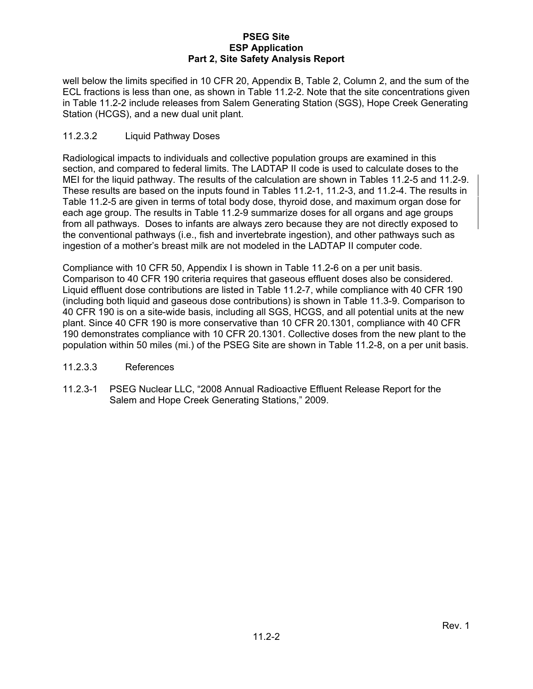well below the limits specified in 10 CFR 20, Appendix B, Table 2, Column 2, and the sum of the ECL fractions is less than one, as shown in Table 11.2-2. Note that the site concentrations given in Table 11.2-2 include releases from Salem Generating Station (SGS), Hope Creek Generating Station (HCGS), and a new dual unit plant.

# 11.2.3.2 Liquid Pathway Doses

Radiological impacts to individuals and collective population groups are examined in this section, and compared to federal limits. The LADTAP II code is used to calculate doses to the MEI for the liquid pathway. The results of the calculation are shown in Tables 11.2-5 and 11.2-9. These results are based on the inputs found in Tables 11.2-1, 11.2-3, and 11.2-4. The results in Table 11.2-5 are given in terms of total body dose, thyroid dose, and maximum organ dose for each age group. The results in Table 11.2-9 summarize doses for all organs and age groups from all pathways. Doses to infants are always zero because they are not directly exposed to the conventional pathways (i.e., fish and invertebrate ingestion), and other pathways such as ingestion of a mother's breast milk are not modeled in the LADTAP II computer code.

Compliance with 10 CFR 50, Appendix I is shown in Table 11.2-6 on a per unit basis. Comparison to 40 CFR 190 criteria requires that gaseous effluent doses also be considered. Liquid effluent dose contributions are listed in Table 11.2-7, while compliance with 40 CFR 190 (including both liquid and gaseous dose contributions) is shown in Table 11.3-9. Comparison to 40 CFR 190 is on a site-wide basis, including all SGS, HCGS, and all potential units at the new plant. Since 40 CFR 190 is more conservative than 10 CFR 20.1301, compliance with 40 CFR 190 demonstrates compliance with 10 CFR 20.1301. Collective doses from the new plant to the population within 50 miles (mi.) of the PSEG Site are shown in Table 11.2-8, on a per unit basis.

### 11.2.3.3 References

11.2.3-1 PSEG Nuclear LLC, "2008 Annual Radioactive Effluent Release Report for the Salem and Hope Creek Generating Stations," 2009.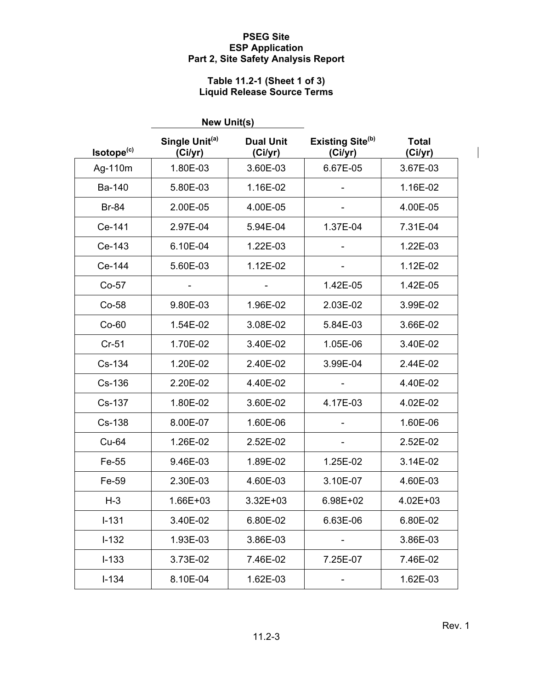# **Table 11.2-1 (Sheet 1 of 3) Liquid Release Source Terms**

|                        | <b>New Unit(s)</b>                    |                             |                                         |                         |
|------------------------|---------------------------------------|-----------------------------|-----------------------------------------|-------------------------|
| Isotope <sup>(c)</sup> | Single Unit <sup>(a)</sup><br>(Ci/yr) | <b>Dual Unit</b><br>(Ci/yr) | Existing Site <sup>(b)</sup><br>(Ci/yr) | <b>Total</b><br>(Ci/yr) |
| Ag-110m                | 1.80E-03                              | 3.60E-03                    | 6.67E-05                                | 3.67E-03                |
| Ba-140                 | 5.80E-03                              | 1.16E-02                    |                                         | 1.16E-02                |
| <b>Br-84</b>           | 2.00E-05                              | 4.00E-05                    |                                         | 4.00E-05                |
| Ce-141                 | 2.97E-04                              | 5.94E-04                    | 1.37E-04                                | 7.31E-04                |
| Ce-143                 | 6.10E-04                              | 1.22E-03                    |                                         | 1.22E-03                |
| Ce-144                 | 5.60E-03                              | 1.12E-02                    |                                         | 1.12E-02                |
| $Co-57$                |                                       |                             | 1.42E-05                                | 1.42E-05                |
| Co-58                  | 9.80E-03                              | 1.96E-02                    | 2.03E-02                                | 3.99E-02                |
| $Co-60$                | 1.54E-02                              | 3.08E-02                    | 5.84E-03                                | 3.66E-02                |
| $Cr-51$                | 1.70E-02                              | 3.40E-02                    | 1.05E-06                                | 3.40E-02                |
| Cs-134                 | 1.20E-02                              | 2.40E-02                    | 3.99E-04                                | 2.44E-02                |
| Cs-136                 | 2.20E-02                              | 4.40E-02                    |                                         | 4.40E-02                |
| Cs-137                 | 1.80E-02                              | 3.60E-02                    | 4.17E-03                                | 4.02E-02                |
| Cs-138                 | 8.00E-07                              | 1.60E-06                    |                                         | 1.60E-06                |
| <b>Cu-64</b>           | 1.26E-02                              | 2.52E-02                    |                                         | 2.52E-02                |
| Fe-55                  | 9.46E-03                              | 1.89E-02                    | 1.25E-02                                | 3.14E-02                |
| Fe-59                  | 2.30E-03                              | 4.60E-03                    | 3.10E-07                                | 4.60E-03                |
| $H-3$                  | 1.66E+03                              | $3.32E + 03$                | 6.98E+02                                | 4.02E+03                |
| $I-131$                | 3.40E-02                              | 6.80E-02                    | 6.63E-06                                | 6.80E-02                |
| $I-132$                | 1.93E-03                              | 3.86E-03                    |                                         | 3.86E-03                |
| $I - 133$              | 3.73E-02                              | 7.46E-02                    | 7.25E-07                                | 7.46E-02                |
| $I - 134$              | 8.10E-04                              | 1.62E-03                    |                                         | 1.62E-03                |

 $\overline{\phantom{a}}$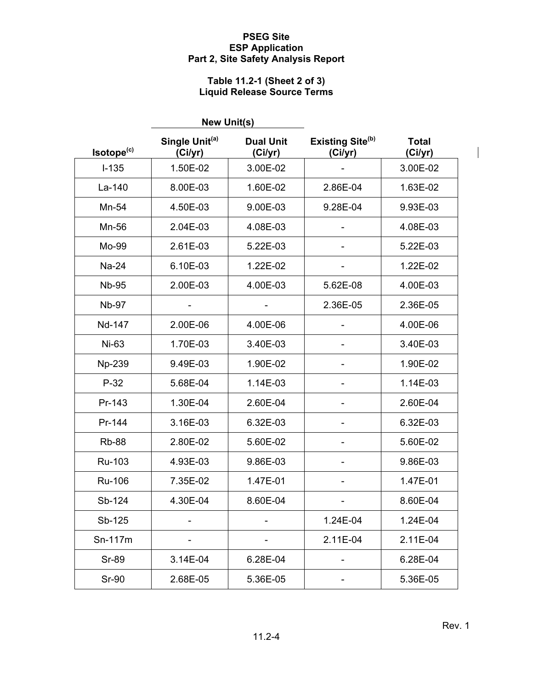# **Table 11.2-1 (Sheet 2 of 3) Liquid Release Source Terms**

|                        | <b>New Unit(s)</b>                    |                             |                                         |                         |
|------------------------|---------------------------------------|-----------------------------|-----------------------------------------|-------------------------|
| Isotope <sup>(c)</sup> | Single Unit <sup>(a)</sup><br>(Ci/yr) | <b>Dual Unit</b><br>(Ci/yr) | Existing Site <sup>(b)</sup><br>(Ci/yr) | <b>Total</b><br>(Ci/yr) |
| $I - 135$              | 1.50E-02                              | 3.00E-02                    |                                         | 3.00E-02                |
| La-140                 | 8.00E-03                              | 1.60E-02                    | 2.86E-04                                | 1.63E-02                |
| Mn-54                  | 4.50E-03                              | 9.00E-03                    | 9.28E-04                                | 9.93E-03                |
| Mn-56                  | 2.04E-03                              | 4.08E-03                    |                                         | 4.08E-03                |
| Mo-99                  | 2.61E-03                              | 5.22E-03                    |                                         | 5.22E-03                |
| Na-24                  | 6.10E-03                              | 1.22E-02                    |                                         | 1.22E-02                |
| <b>Nb-95</b>           | 2.00E-03                              | 4.00E-03                    | 5.62E-08                                | 4.00E-03                |
| <b>Nb-97</b>           |                                       |                             | 2.36E-05                                | 2.36E-05                |
| Nd-147                 | 2.00E-06                              | 4.00E-06                    |                                         | 4.00E-06                |
| Ni-63                  | 1.70E-03                              | 3.40E-03                    |                                         | 3.40E-03                |
| Np-239                 | 9.49E-03                              | 1.90E-02                    |                                         | 1.90E-02                |
| $P-32$                 | 5.68E-04                              | 1.14E-03                    |                                         | 1.14E-03                |
| Pr-143                 | 1.30E-04                              | 2.60E-04                    |                                         | 2.60E-04                |
| Pr-144                 | 3.16E-03                              | 6.32E-03                    |                                         | 6.32E-03                |
| <b>Rb-88</b>           | 2.80E-02                              | 5.60E-02                    |                                         | 5.60E-02                |
| Ru-103                 | 4.93E-03                              | 9.86E-03                    |                                         | 9.86E-03                |
| Ru-106                 | 7.35E-02                              | 1.47E-01                    |                                         | 1.47E-01                |
| Sb-124                 | 4.30E-04                              | 8.60E-04                    |                                         | 8.60E-04                |
| Sb-125                 |                                       |                             | 1.24E-04                                | 1.24E-04                |
| Sn-117m                |                                       |                             | 2.11E-04                                | 2.11E-04                |
| <b>Sr-89</b>           | 3.14E-04                              | 6.28E-04                    |                                         | 6.28E-04                |
| <b>Sr-90</b>           | 2.68E-05                              | 5.36E-05                    |                                         | 5.36E-05                |

 $\overline{\phantom{a}}$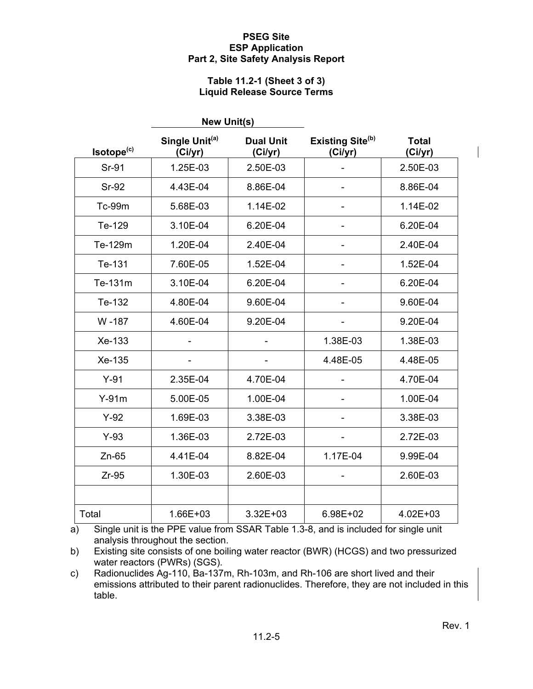#### **Table 11.2-1 (Sheet 3 of 3) Liquid Release Source Terms**

|                        | <b>New Unit(s)</b>                    |                             |                                    |                         |
|------------------------|---------------------------------------|-----------------------------|------------------------------------|-------------------------|
| Isotope <sup>(c)</sup> | Single Unit <sup>(a)</sup><br>(Ci/yr) | <b>Dual Unit</b><br>(Ci/yr) | <b>Existing Site(b)</b><br>(Ci/yr) | <b>Total</b><br>(Ci/yr) |
| Sr-91                  | 1.25E-03                              | 2.50E-03                    |                                    | 2.50E-03                |
| <b>Sr-92</b>           | 4.43E-04                              | 8.86E-04                    |                                    | 8.86E-04                |
| Tc-99m                 | 5.68E-03                              | 1.14E-02                    |                                    | 1.14E-02                |
| Te-129                 | 3.10E-04                              | 6.20E-04                    |                                    | 6.20E-04                |
| Te-129m                | 1.20E-04                              | 2.40E-04                    |                                    | 2.40E-04                |
| Te-131                 | 7.60E-05                              | 1.52E-04                    |                                    | 1.52E-04                |
| Te-131m                | 3.10E-04                              | 6.20E-04                    |                                    | 6.20E-04                |
| Te-132                 | 4.80E-04                              | 9.60E-04                    |                                    | 9.60E-04                |
| W-187                  | 4.60E-04                              | 9.20E-04                    |                                    | 9.20E-04                |
| Xe-133                 |                                       |                             | 1.38E-03                           | 1.38E-03                |
| Xe-135                 |                                       |                             | 4.48E-05                           | 4.48E-05                |
| $Y-91$                 | 2.35E-04                              | 4.70E-04                    |                                    | 4.70E-04                |
| $Y-91m$                | 5.00E-05                              | 1.00E-04                    |                                    | 1.00E-04                |
| $Y-92$                 | 1.69E-03                              | 3.38E-03                    |                                    | 3.38E-03                |
| $Y-93$                 | 1.36E-03                              | 2.72E-03                    |                                    | 2.72E-03                |
| $Zn-65$                | 4.41E-04                              | 8.82E-04                    | 1.17E-04                           | 9.99E-04                |
| $Zr-95$                | 1.30E-03                              | 2.60E-03                    |                                    | 2.60E-03                |
|                        |                                       |                             |                                    |                         |
| Total                  | 1.66E+03                              | $3.32E + 03$                | 6.98E+02                           | 4.02E+03                |

a) Single unit is the PPE value from SSAR Table 1.3-8, and is included for single unit analysis throughout the section.

b) Existing site consists of one boiling water reactor (BWR) (HCGS) and two pressurized water reactors (PWRs) (SGS).

c) Radionuclides Ag-110, Ba-137m, Rh-103m, and Rh-106 are short lived and their emissions attributed to their parent radionuclides. Therefore, they are not included in this table.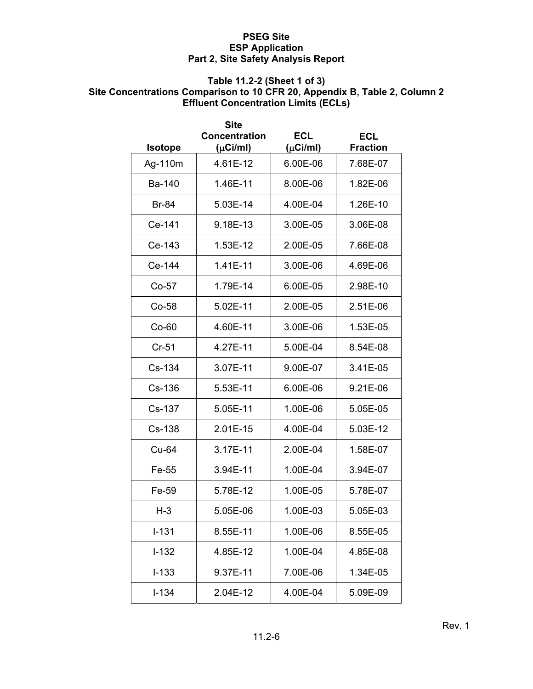# **Table 11.2-2 (Sheet 1 of 3)**

# **Site Concentrations Comparison to 10 CFR 20, Appendix B, Table 2, Column 2 Effluent Concentration Limits (ECLs)**

|                | Site<br><b>Concentration</b> | <b>ECL</b>    | ECL             |
|----------------|------------------------------|---------------|-----------------|
| <b>Isotope</b> | $(\mu$ Ci/ml)                | $(\mu$ Ci/ml) | <b>Fraction</b> |
| Ag-110m        | 4.61E-12                     | 6.00E-06      | 7.68E-07        |
| Ba-140         | 1.46E-11                     | 8.00E-06      | 1.82E-06        |
| <b>Br-84</b>   | 5.03E-14                     | 4.00E-04      | 1.26E-10        |
| Ce-141         | 9.18E-13                     | 3.00E-05      | 3.06E-08        |
| Ce-143         | 1.53E-12                     | 2.00E-05      | 7.66E-08        |
| Ce-144         | 1.41E-11                     | 3.00E-06      | 4.69E-06        |
| $Co-57$        | 1.79E-14                     | 6.00E-05      | 2.98E-10        |
| Co-58          | 5.02E-11                     | 2.00E-05      | 2.51E-06        |
| $Co-60$        | 4.60E-11                     | 3.00E-06      | 1.53E-05        |
| $Cr-51$        | 4.27E-11                     | 5.00E-04      | 8.54E-08        |
| $Cs-134$       | 3.07E-11                     | 9.00E-07      | 3.41E-05        |
| $Cs-136$       | 5.53E-11                     | 6.00E-06      | 9.21E-06        |
| $Cs-137$       | 5.05E-11                     | 1.00E-06      | 5.05E-05        |
| Cs-138         | 2.01E-15                     | 4.00E-04      | 5.03E-12        |
| Cu-64          | 3.17E-11                     | 2.00E-04      | 1.58E-07        |
| Fe-55          | 3.94E-11                     | 1.00E-04      | 3.94E-07        |
| Fe-59          | 5.78E-12                     | 1.00E-05      | 5.78E-07        |
| H-3            | 5.05E-06                     | 1.00E-03      | 5.05E-03        |
| $I - 131$      | 8.55E-11                     | 1.00E-06      | 8.55E-05        |
| $I - 132$      | 4.85E-12                     | 1.00E-04      | 4.85E-08        |
| $I - 133$      | 9.37E-11                     | 7.00E-06      | 1.34E-05        |
| $I - 134$      | 2.04E-12                     | 4.00E-04      | 5.09E-09        |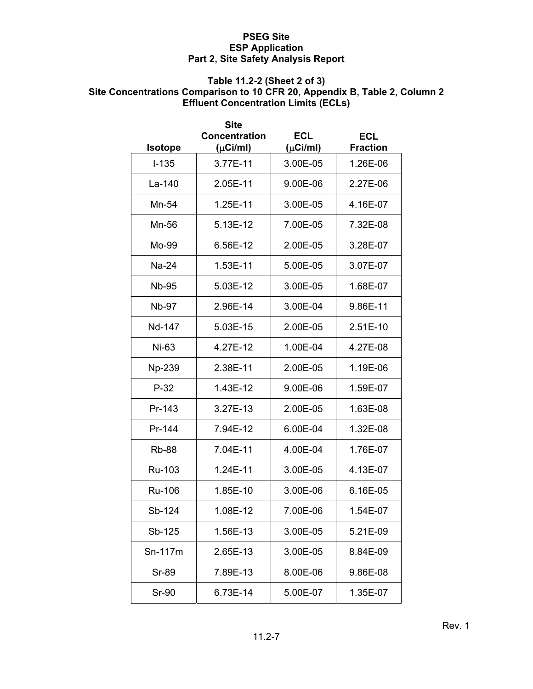# **Table 11.2-2 (Sheet 2 of 3)**

# **Site Concentrations Comparison to 10 CFR 20, Appendix B, Table 2, Column 2 Effluent Concentration Limits (ECLs)**

|                | <b>Site</b><br><b>Concentration</b> | <b>ECL</b>    | <b>ECL</b>      |
|----------------|-------------------------------------|---------------|-----------------|
| <b>Isotope</b> | $(\mu$ Ci/ml)                       | $(\mu$ Ci/ml) | <b>Fraction</b> |
| $I - 135$      | 3.77E-11                            | 3.00E-05      | 1.26E-06        |
| La-140         | 2.05E-11                            | 9.00E-06      | 2.27E-06        |
| Mn-54          | 1.25E-11                            | 3.00E-05      | 4.16E-07        |
| Mn-56          | 5.13E-12                            | 7.00E-05      | 7.32E-08        |
| Mo-99          | 6.56E-12                            | 2.00E-05      | 3.28E-07        |
| Na-24          | 1.53E-11                            | 5.00E-05      | 3.07E-07        |
| <b>Nb-95</b>   | 5.03E-12                            | 3.00E-05      | 1.68E-07        |
| <b>Nb-97</b>   | 2.96E-14                            | 3.00E-04      | 9.86E-11        |
| Nd-147         | 5.03E-15                            | 2.00E-05      | 2.51E-10        |
| Ni-63          | 4.27E-12                            | 1.00E-04      | 4.27E-08        |
| Np-239         | 2.38E-11                            | 2.00E-05      | 1.19E-06        |
| $P-32$         | 1.43E-12                            | 9.00E-06      | 1.59E-07        |
| Pr-143         | 3.27E-13                            | 2.00E-05      | 1.63E-08        |
| Pr-144         | 7.94E-12                            | 6.00E-04      | 1.32E-08        |
| <b>Rb-88</b>   | 7.04E-11                            | 4.00E-04      | 1.76E-07        |
| Ru-103         | 1.24E-11                            | 3.00E-05      | 4.13E-07        |
| Ru-106         | 1.85E-10                            | 3.00E-06      | 6.16E-05        |
| Sb-124         | 1.08E-12                            | 7.00E-06      | 1.54E-07        |
| Sb-125         | 1.56E-13                            | 3.00E-05      | 5.21E-09        |
| $Sn-117m$      | 2.65E-13                            | 3.00E-05      | 8.84E-09        |
| <b>Sr-89</b>   | 7.89E-13                            | 8.00E-06      | 9.86E-08        |
| <b>Sr-90</b>   | 6.73E-14                            | 5.00E-07      | 1.35E-07        |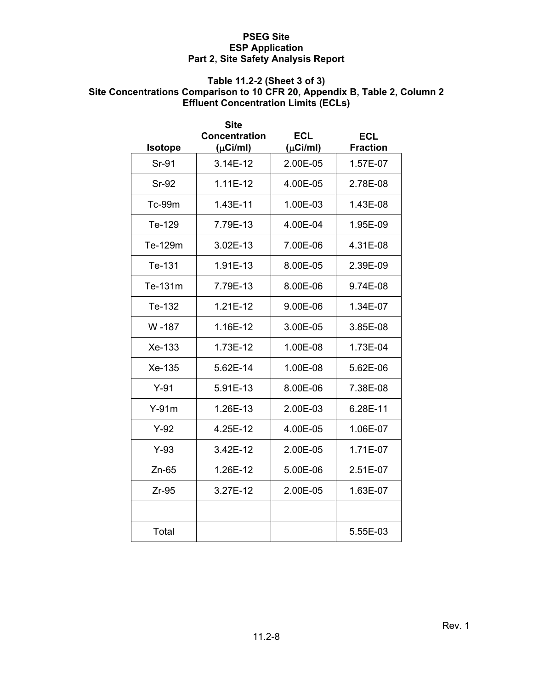#### **Table 11.2-2 (Sheet 3 of 3)**

# **Site Concentrations Comparison to 10 CFR 20, Appendix B, Table 2, Column 2 Effluent Concentration Limits (ECLs)**

| <b>Isotope</b> | Site<br><b>Concentration</b><br>$(\mu$ Ci/ml) | ECL<br>$(\mu$ Ci/ml) | ECL<br><b>Fraction</b> |
|----------------|-----------------------------------------------|----------------------|------------------------|
| Sr-91          | 3.14E-12                                      | 2.00E-05             | 1.57E-07               |
| <b>Sr-92</b>   | $1.11E-12$                                    | 4.00E-05             | 2.78E-08               |
| <b>Tc-99m</b>  | 1.43E-11                                      | 1.00E-03             | 1.43E-08               |
| Te-129         | 7.79E-13                                      | 4.00E-04             | 1.95E-09               |
| Te-129m        | 3.02E-13                                      | 7.00E-06             | 4.31E-08               |
| Te-131         | 1.91E-13                                      | 8.00E-05             | 2.39E-09               |
| Te-131m        | 7.79E-13                                      | 8.00E-06             | 9.74E-08               |
| Te-132         | 1.21E-12                                      | 9.00E-06             | 1.34E-07               |
| W -187         | 1.16E-12                                      | 3.00E-05             | 3.85E-08               |
| $Xe-133$       | 1.73E-12                                      | 1.00E-08             | 1.73E-04               |
| Xe-135         | 5.62E-14                                      | 1.00E-08             | 5.62E-06               |
| $Y-91$         | 5.91E-13                                      | 8.00E-06             | 7.38E-08               |
| $Y-91m$        | 1.26E-13                                      | 2.00E-03             | 6.28E-11               |
| $Y-92$         | 4.25E-12                                      | 4.00E-05             | 1.06E-07               |
| $Y-93$         | 3.42E-12                                      | 2.00E-05             | 1.71E-07               |
| $Zn-65$        | 1.26E-12                                      | 5.00E-06             | 2.51E-07               |
| $Zr-95$        | 3.27E-12                                      | 2.00E-05             | 1.63E-07               |
|                |                                               |                      |                        |
| Total          |                                               |                      | 5.55E-03               |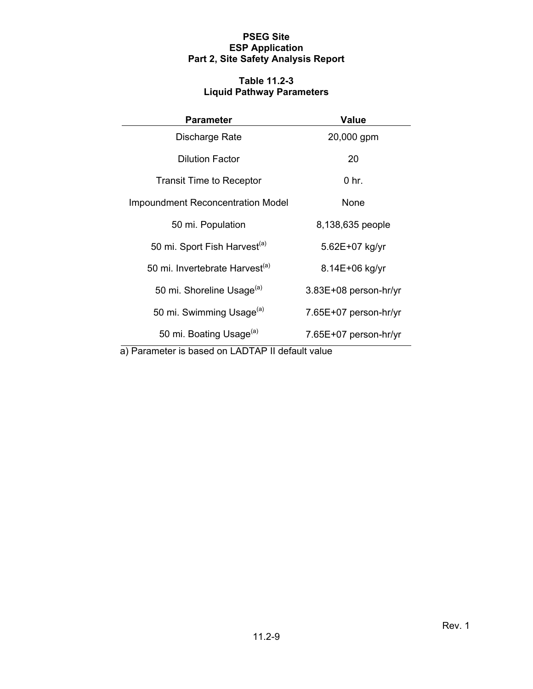### **Table 11.2-3 Liquid Pathway Parameters**

| <b>Parameter</b>                                 | <b>Value</b>          |  |  |
|--------------------------------------------------|-----------------------|--|--|
| Discharge Rate                                   | 20,000 gpm            |  |  |
| <b>Dilution Factor</b>                           | 20                    |  |  |
| <b>Transit Time to Receptor</b>                  | $0$ hr.               |  |  |
| <b>Impoundment Reconcentration Model</b>         | None                  |  |  |
| 50 mi. Population                                | 8,138,635 people      |  |  |
| 50 mi. Sport Fish Harvest <sup>(a)</sup>         | 5.62E+07 kg/yr        |  |  |
| 50 mi. Invertebrate Harvest <sup>(a)</sup>       | 8.14E+06 kg/yr        |  |  |
| 50 mi. Shoreline Usage <sup>(a)</sup>            | 3.83E+08 person-hr/yr |  |  |
| 50 mi. Swimming Usage <sup>(a)</sup>             | 7.65E+07 person-hr/yr |  |  |
| 50 mi. Boating Usage <sup>(a)</sup>              | 7.65E+07 person-hr/yr |  |  |
| a) Parameter is based on LADTAP II default value |                       |  |  |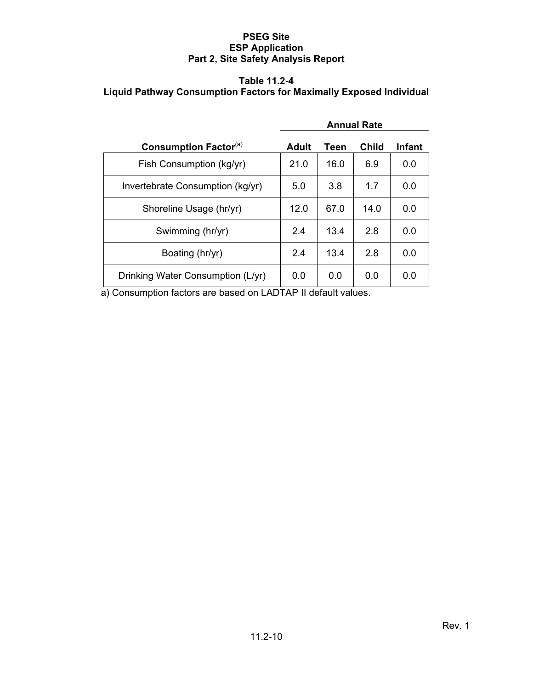# **Table 11.2-4 Liquid Pathway Consumption Factors for Maximally Exposed Individual**

|                                          | <b>Annual Rate</b> |      |              |               |
|------------------------------------------|--------------------|------|--------------|---------------|
| <b>Consumption Factor</b> <sup>(a)</sup> | <b>Adult</b>       | Teen | <b>Child</b> | <b>Infant</b> |
| Fish Consumption (kg/yr)                 | 21.0               | 16.0 | 6.9          | 0.0           |
| Invertebrate Consumption (kg/yr)         | 5.0                | 3.8  | 1.7          | 0.0           |
| Shoreline Usage (hr/yr)                  | 12.0               | 67.0 | 14.0         | 0.0           |
| Swimming (hr/yr)                         | 24                 | 13.4 | 2.8          | 0.0           |
| Boating (hr/yr)                          | 2.4                | 13.4 | 2.8          | 0.0           |
| Drinking Water Consumption (L/yr)        | 0.0                | 0.0  | 0.0          | 0.0           |

a) Consumption factors are based on LADTAP II default values.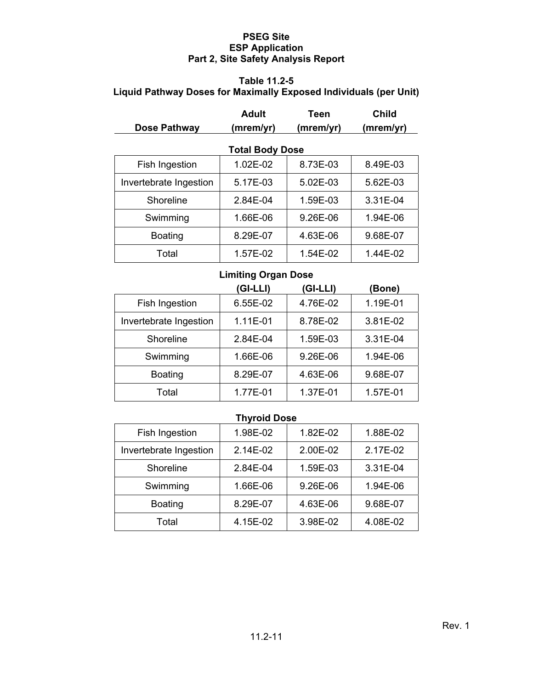# **Table 11.2-5 Liquid Pathway Doses for Maximally Exposed Individuals (per Unit)**

|                        | <b>Adult</b>           | Teen      | Child     |
|------------------------|------------------------|-----------|-----------|
| Dose Pathway           | (mrem/yr)              | (mrem/yr) | (mrem/yr) |
|                        | <b>Total Body Dose</b> |           |           |
| Fish Ingestion         | 1.02E-02               | 8.73E-03  | 8.49E-03  |
| Invertebrate Ingestion | 5.17E-03               | 5.02E-03  | 5.62E-03  |
| Shoreline              | 2.84E-04               | 1.59E-03  | 3.31E-04  |
| Swimming               | 1.66E-06               | 9.26E-06  | 1.94E-06  |
| <b>Boating</b>         | 8.29E-07               | 4.63E-06  | 9.68E-07  |
| Total                  | 1.57E-02               | 1.54E-02  | 1.44E-02  |

# **Limiting Organ Dose**

|                        | (GI-LLI) | (GI-LLI) | (Bone)   |
|------------------------|----------|----------|----------|
| Fish Ingestion         | 6.55E-02 | 4.76E-02 | 1.19E-01 |
| Invertebrate Ingestion | 1.11E-01 | 8.78E-02 | 3.81E-02 |
| Shoreline              | 2.84E-04 | 1.59E-03 | 3.31E-04 |
| Swimming               | 1.66E-06 | 9.26E-06 | 1.94E-06 |
| <b>Boating</b>         | 8.29E-07 | 4.63E-06 | 9.68E-07 |
| Total                  | 1.77E-01 | 1.37E-01 | 1.57E-01 |

# **Thyroid Dose**

| Fish Ingestion         | 1.98E-02 | 1.82E-02 | 1.88E-02 |
|------------------------|----------|----------|----------|
| Invertebrate Ingestion | 2.14E-02 | 2.00E-02 | 2.17E-02 |
| Shoreline              | 2.84E-04 | 1.59E-03 | 3.31E-04 |
| Swimming               | 1.66E-06 | 9.26E-06 | 1.94E-06 |
| <b>Boating</b>         | 8.29E-07 | 4.63E-06 | 9.68E-07 |
| Total                  | 4.15E-02 | 3.98E-02 | 4.08E-02 |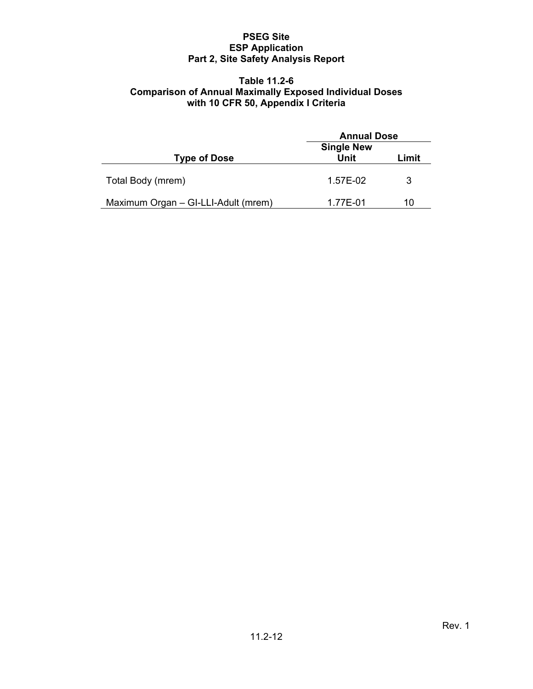#### **Table 11.2-6 Comparison of Annual Maximally Exposed Individual Doses with 10 CFR 50, Appendix I Criteria**

|                                     | <b>Annual Dose</b>        |       |
|-------------------------------------|---------------------------|-------|
| <b>Type of Dose</b>                 | <b>Single New</b><br>Unit | Limit |
| Total Body (mrem)                   | 1.57E-02                  | 3     |
| Maximum Organ - GI-LLI-Adult (mrem) | 1.77E-01                  | 10    |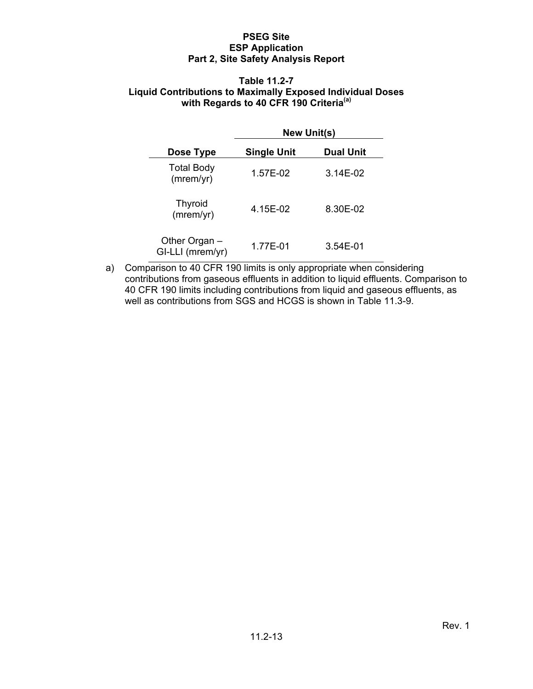#### **Table 11.2-7 Liquid Contributions to Maximally Exposed Individual Doses with Regards to 40 CFR 190 Criteria(a)**

|                                   | <b>New Unit(s)</b> |                  |  |  |
|-----------------------------------|--------------------|------------------|--|--|
| Dose Type                         | <b>Single Unit</b> | <b>Dual Unit</b> |  |  |
| <b>Total Body</b><br>(mrem/yr)    | 1.57E-02           | 3.14E-02         |  |  |
| <b>Thyroid</b><br>(mrem/yr)       | 4.15E-02           | 8.30E-02         |  |  |
| Other Organ -<br>GI-LLI (mrem/yr) | 1.77E-01           | 3.54E-01         |  |  |

a) Comparison to 40 CFR 190 limits is only appropriate when considering contributions from gaseous effluents in addition to liquid effluents. Comparison to 40 CFR 190 limits including contributions from liquid and gaseous effluents, as well as contributions from SGS and HCGS is shown in Table 11.3-9.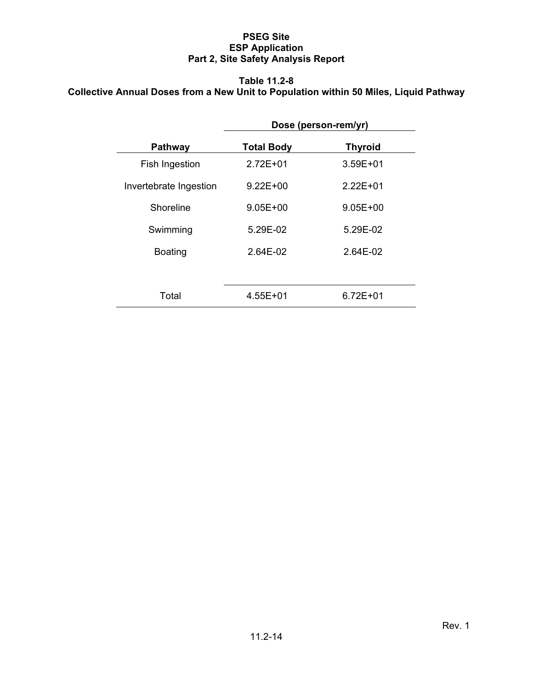# **Table 11.2-8 Collective Annual Doses from a New Unit to Population within 50 Miles, Liquid Pathway**

|                        | Dose (person-rem/yr) |                |  |
|------------------------|----------------------|----------------|--|
| <b>Pathway</b>         | <b>Total Body</b>    | <b>Thyroid</b> |  |
| Fish Ingestion         | $2.72E + 01$         | $3.59E + 01$   |  |
| Invertebrate Ingestion | $9.22E + 00$         | $2.22E + 01$   |  |
| Shoreline              | $9.05E + 00$         | $9.05E + 00$   |  |
| Swimming               | 5.29E-02             | 5.29E-02       |  |
| <b>Boating</b>         | 2.64E-02             | 2.64E-02       |  |
|                        |                      |                |  |
| Total                  | $4.55E + 01$         | $6.72E + 01$   |  |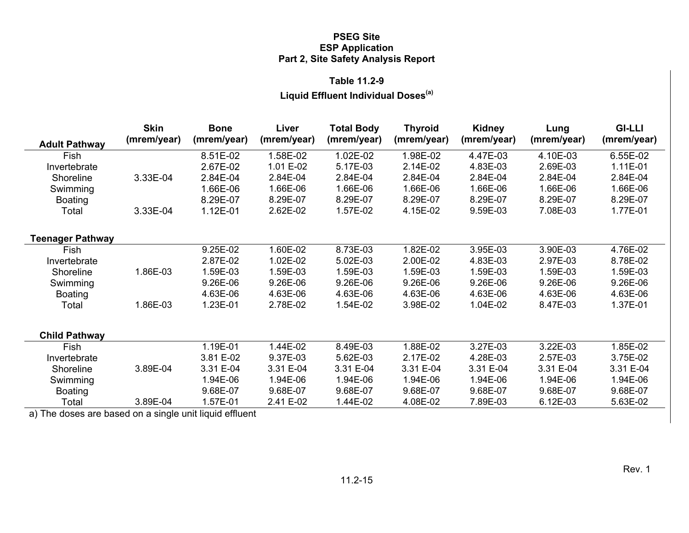#### **Table 11.2-9**

# **Liquid Effluent Individual Doses(a)**

|                         | <b>Skin</b> | <b>Bone</b> | Liver       | <b>Total Body</b> | <b>Thyroid</b> | Kidney      | Lung        | <b>GI-LLI</b> |
|-------------------------|-------------|-------------|-------------|-------------------|----------------|-------------|-------------|---------------|
| <b>Adult Pathway</b>    | (mrem/year) | (mrem/year) | (mrem/year) | (mrem/year)       | (mrem/year)    | (mrem/year) | (mrem/year) | (mrem/year)   |
| Fish                    |             | 8.51E-02    | 1.58E-02    | 1.02E-02          | 1.98E-02       | 4.47E-03    | 4.10E-03    | 6.55E-02      |
| Invertebrate            |             | 2.67E-02    | 1.01 E-02   | 5.17E-03          | 2.14E-02       | 4.83E-03    | 2.69E-03    | 1.11E-01      |
| Shoreline               | 3.33E-04    | 2.84E-04    | 2.84E-04    | 2.84E-04          | 2.84E-04       | 2.84E-04    | 2.84E-04    | 2.84E-04      |
| Swimming                |             | 1.66E-06    | 1.66E-06    | 1.66E-06          | 1.66E-06       | 1.66E-06    | 1.66E-06    | 1.66E-06      |
| <b>Boating</b>          |             | 8.29E-07    | 8.29E-07    | 8.29E-07          | 8.29E-07       | 8.29E-07    | 8.29E-07    | 8.29E-07      |
| Total                   | 3.33E-04    | 1.12E-01    | 2.62E-02    | 1.57E-02          | 4.15E-02       | 9.59E-03    | 7.08E-03    | 1.77E-01      |
| <b>Teenager Pathway</b> |             |             |             |                   |                |             |             |               |
| Fish                    |             | 9.25E-02    | 1.60E-02    | 8.73E-03          | 1.82E-02       | 3.95E-03    | 3.90E-03    | 4.76E-02      |
| Invertebrate            |             | 2.87E-02    | 1.02E-02    | 5.02E-03          | 2.00E-02       | 4.83E-03    | 2.97E-03    | 8.78E-02      |
| Shoreline               | 1.86E-03    | 1.59E-03    | 1.59E-03    | 1.59E-03          | 1.59E-03       | 1.59E-03    | 1.59E-03    | 1.59E-03      |
| Swimming                |             | 9.26E-06    | 9.26E-06    | 9.26E-06          | 9.26E-06       | 9.26E-06    | 9.26E-06    | 9.26E-06      |
| <b>Boating</b>          |             | 4.63E-06    | 4.63E-06    | 4.63E-06          | 4.63E-06       | 4.63E-06    | 4.63E-06    | 4.63E-06      |
| Total                   | 1.86E-03    | 1.23E-01    | 2.78E-02    | 1.54E-02          | 3.98E-02       | 1.04E-02    | 8.47E-03    | 1.37E-01      |
|                         |             |             |             |                   |                |             |             |               |
| <b>Child Pathway</b>    |             |             |             |                   |                |             |             |               |
| Fish                    |             | 1.19E-01    | 1.44E-02    | 8.49E-03          | 1.88E-02       | 3.27E-03    | 3.22E-03    | 1.85E-02      |
| Invertebrate            |             | 3.81 E-02   | 9.37E-03    | 5.62E-03          | 2.17E-02       | 4.28E-03    | 2.57E-03    | 3.75E-02      |
| Shoreline               | 3.89E-04    | 3.31 E-04   | 3.31 E-04   | 3.31 E-04         | 3.31 E-04      | 3.31 E-04   | 3.31 E-04   | 3.31 E-04     |
| Swimming                |             | 1.94E-06    | 1.94E-06    | 1.94E-06          | 1.94E-06       | 1.94E-06    | 1.94E-06    | 1.94E-06      |
| <b>Boating</b>          |             | 9.68E-07    | 9.68E-07    | 9.68E-07          | 9.68E-07       | 9.68E-07    | 9.68E-07    | 9.68E-07      |
| Total                   | 3.89E-04    | 1.57E-01    | 2.41 E-02   | 1.44E-02          | 4.08E-02       | 7.89E-03    | 6.12E-03    | 5.63E-02      |

a) The doses are based on a single unit liquid effluent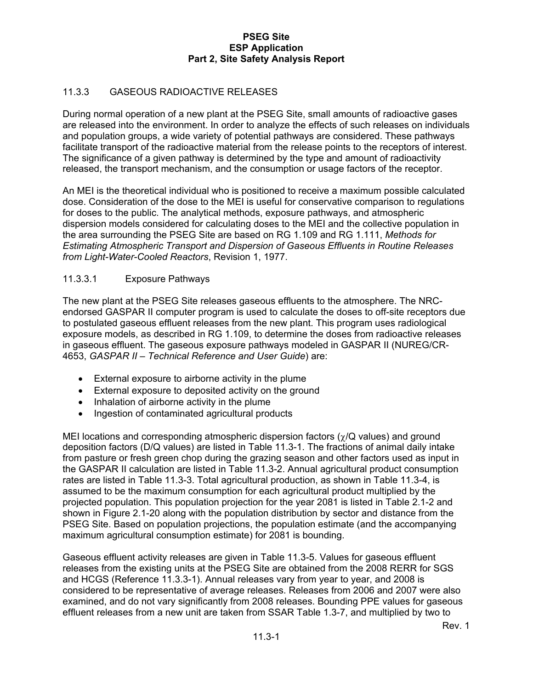# 11.3.3 GASEOUS RADIOACTIVE RELEASES

During normal operation of a new plant at the PSEG Site, small amounts of radioactive gases are released into the environment. In order to analyze the effects of such releases on individuals and population groups, a wide variety of potential pathways are considered. These pathways facilitate transport of the radioactive material from the release points to the receptors of interest. The significance of a given pathway is determined by the type and amount of radioactivity released, the transport mechanism, and the consumption or usage factors of the receptor.

An MEI is the theoretical individual who is positioned to receive a maximum possible calculated dose. Consideration of the dose to the MEI is useful for conservative comparison to regulations for doses to the public. The analytical methods, exposure pathways, and atmospheric dispersion models considered for calculating doses to the MEI and the collective population in the area surrounding the PSEG Site are based on RG 1.109 and RG 1.111, *Methods for Estimating Atmospheric Transport and Dispersion of Gaseous Effluents in Routine Releases from Light-Water-Cooled Reactors*, Revision 1, 1977.

# 11.3.3.1 Exposure Pathways

The new plant at the PSEG Site releases gaseous effluents to the atmosphere. The NRCendorsed GASPAR II computer program is used to calculate the doses to off-site receptors due to postulated gaseous effluent releases from the new plant. This program uses radiological exposure models, as described in RG 1.109, to determine the doses from radioactive releases in gaseous effluent. The gaseous exposure pathways modeled in GASPAR II (NUREG/CR-4653, *GASPAR II – Technical Reference and User Guide*) are:

- External exposure to airborne activity in the plume
- External exposure to deposited activity on the ground
- Inhalation of airborne activity in the plume
- Ingestion of contaminated agricultural products

MEI locations and corresponding atmospheric dispersion factors ( $\gamma$ /Q values) and ground deposition factors (D/Q values) are listed in Table 11.3-1. The fractions of animal daily intake from pasture or fresh green chop during the grazing season and other factors used as input in the GASPAR II calculation are listed in Table 11.3-2. Annual agricultural product consumption rates are listed in Table 11.3-3. Total agricultural production, as shown in Table 11.3-4, is assumed to be the maximum consumption for each agricultural product multiplied by the projected population. This population projection for the year 2081 is listed in Table 2.1-2 and shown in Figure 2.1-20 along with the population distribution by sector and distance from the PSEG Site. Based on population projections, the population estimate (and the accompanying maximum agricultural consumption estimate) for 2081 is bounding.

Gaseous effluent activity releases are given in Table 11.3-5. Values for gaseous effluent releases from the existing units at the PSEG Site are obtained from the 2008 RERR for SGS and HCGS (Reference 11.3.3-1). Annual releases vary from year to year, and 2008 is considered to be representative of average releases. Releases from 2006 and 2007 were also examined, and do not vary significantly from 2008 releases. Bounding PPE values for gaseous effluent releases from a new unit are taken from SSAR Table 1.3-7, and multiplied by two to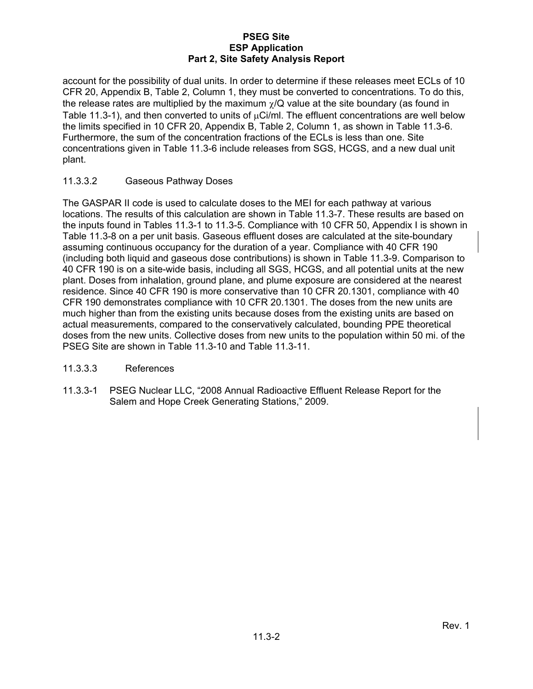account for the possibility of dual units. In order to determine if these releases meet ECLs of 10 CFR 20, Appendix B, Table 2, Column 1, they must be converted to concentrations. To do this, the release rates are multiplied by the maximum  $\chi$ /Q value at the site boundary (as found in Table 11.3-1), and then converted to units of  $\mu$ Ci/ml. The effluent concentrations are well below the limits specified in 10 CFR 20, Appendix B, Table 2, Column 1, as shown in Table 11.3-6. Furthermore, the sum of the concentration fractions of the ECLs is less than one. Site concentrations given in Table 11.3-6 include releases from SGS, HCGS, and a new dual unit plant.

### 11.3.3.2 Gaseous Pathway Doses

The GASPAR II code is used to calculate doses to the MEI for each pathway at various locations. The results of this calculation are shown in Table 11.3-7. These results are based on the inputs found in Tables 11.3-1 to 11.3-5. Compliance with 10 CFR 50, Appendix I is shown in Table 11.3-8 on a per unit basis. Gaseous effluent doses are calculated at the site-boundary assuming continuous occupancy for the duration of a year. Compliance with 40 CFR 190 (including both liquid and gaseous dose contributions) is shown in Table 11.3-9. Comparison to 40 CFR 190 is on a site-wide basis, including all SGS, HCGS, and all potential units at the new plant. Doses from inhalation, ground plane, and plume exposure are considered at the nearest residence. Since 40 CFR 190 is more conservative than 10 CFR 20.1301, compliance with 40 CFR 190 demonstrates compliance with 10 CFR 20.1301. The doses from the new units are much higher than from the existing units because doses from the existing units are based on actual measurements, compared to the conservatively calculated, bounding PPE theoretical doses from the new units. Collective doses from new units to the population within 50 mi. of the PSEG Site are shown in Table 11.3-10 and Table 11.3-11.

### 11.3.3.3 References

11.3.3-1 PSEG Nuclear LLC, "2008 Annual Radioactive Effluent Release Report for the Salem and Hope Creek Generating Stations," 2009.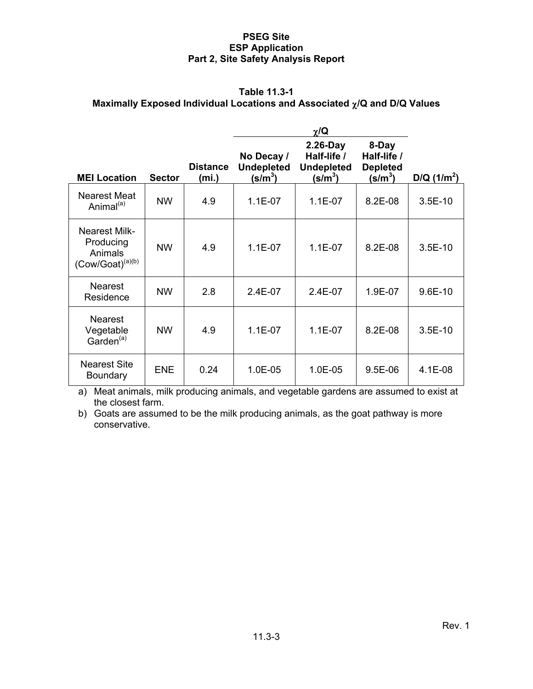# **Table 11.3-1 Maximally Exposed Individual Locations and Associated /Q and D/Q Values**

|                                                                              |               |                          |                                                | $\chi/\mathbf{Q}$                                             |                                                        |              |
|------------------------------------------------------------------------------|---------------|--------------------------|------------------------------------------------|---------------------------------------------------------------|--------------------------------------------------------|--------------|
| <b>MEI Location</b>                                                          | <b>Sector</b> | <b>Distance</b><br>(mi.) | No Decay /<br><b>Undepleted</b><br>(s/m $^3$ ) | $2.26-Day$<br>Half-life /<br><b>Undepleted</b><br>(s/m $^3$ ) | 8-Day<br>Half-life /<br><b>Depleted</b><br>(s/m $^3$ ) | $D/Q(1/m^2)$ |
| <b>Nearest Meat</b><br>Animal <sup>(a)</sup>                                 | <b>NW</b>     | 4.9                      | $1.1E-07$                                      | $1.1E-07$                                                     | 8.2E-08                                                | $3.5E-10$    |
| <b>Nearest Milk-</b><br>Producing<br>Animals<br>(Cow/Goat) <sup>(a)(b)</sup> | <b>NW</b>     | 4.9                      | $1.1E-07$                                      | $1.1E-07$                                                     | 8.2E-08                                                | $3.5E-10$    |
| <b>Nearest</b><br>Residence                                                  | <b>NW</b>     | 2.8                      | 2.4E-07                                        | 2.4E-07                                                       | 1.9E-07                                                | $9.6E-10$    |
| <b>Nearest</b><br>Vegetable<br>Garden <sup>(a)</sup>                         | <b>NW</b>     | 4.9                      | $1.1E-07$                                      | $1.1E-07$                                                     | 8.2E-08                                                | $3.5E-10$    |
| <b>Nearest Site</b><br><b>Boundary</b>                                       | <b>ENE</b>    | 0.24                     | 1.0E-05                                        | 1.0E-05                                                       | $9.5E-06$                                              | 4.1E-08      |

a) Meat animals, milk producing animals, and vegetable gardens are assumed to exist at the closest farm.

b) Goats are assumed to be the milk producing animals, as the goat pathway is more conservative.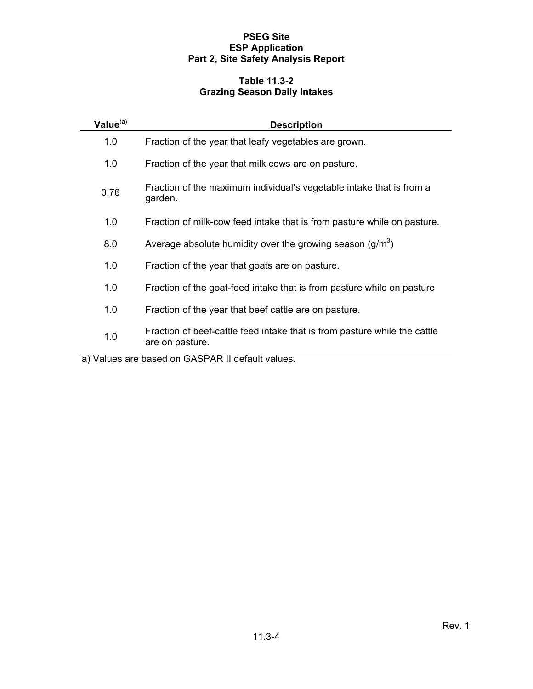# **Table 11.3-2 Grazing Season Daily Intakes**

| Value <sup>(a)</sup> | <b>Description</b>                                                                           |
|----------------------|----------------------------------------------------------------------------------------------|
| 1.0                  | Fraction of the year that leafy vegetables are grown.                                        |
| 1.0                  | Fraction of the year that milk cows are on pasture.                                          |
| 0.76                 | Fraction of the maximum individual's vegetable intake that is from a<br>garden.              |
| 1.0                  | Fraction of milk-cow feed intake that is from pasture while on pasture.                      |
| 8.0                  | Average absolute humidity over the growing season $(g/m^3)$                                  |
| 1.0                  | Fraction of the year that goats are on pasture.                                              |
| 1.0                  | Fraction of the goat-feed intake that is from pasture while on pasture                       |
| 1.0                  | Fraction of the year that beef cattle are on pasture.                                        |
| 1.0                  | Fraction of beef-cattle feed intake that is from pasture while the cattle<br>are on pasture. |

a) Values are based on GASPAR II default values.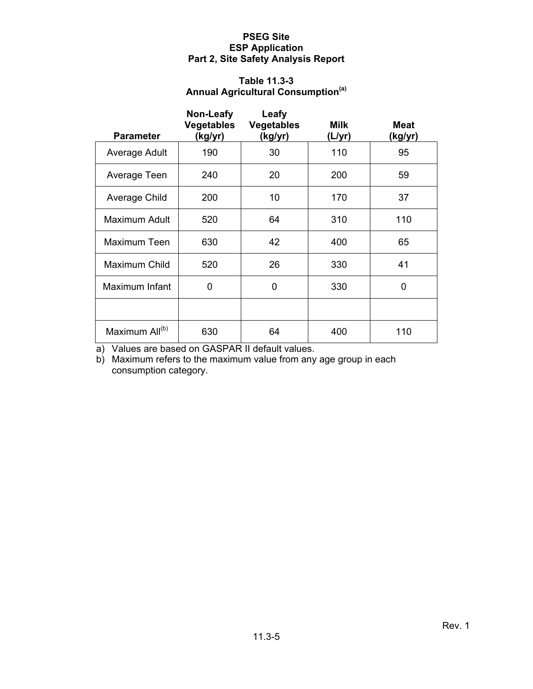# **Table 11.3-3 Annual Agricultural Consumption(a)**

| <b>Parameter</b>           | Non-Leafy<br><b>Vegetables</b><br>(kg/yr) | Leafy<br><b>Vegetables</b><br>(kg/yr) | <b>Milk</b><br>(L/yr) | <b>Meat</b><br>(kg/yr) |
|----------------------------|-------------------------------------------|---------------------------------------|-----------------------|------------------------|
| Average Adult              | 190                                       | 30                                    | 110                   | 95                     |
| Average Teen               | 240                                       | 20                                    | 200                   | 59                     |
| Average Child              | 200                                       | 10                                    | 170                   | 37                     |
| Maximum Adult              | 520                                       | 64                                    | 310                   | 110                    |
| Maximum Teen               | 630                                       | 42                                    | 400                   | 65                     |
| Maximum Child              | 520                                       | 26                                    | 330                   | 41                     |
| Maximum Infant             | 0                                         | 0                                     | 330                   | 0                      |
|                            |                                           |                                       |                       |                        |
| Maximum All <sup>(b)</sup> | 630                                       | 64                                    | 400                   | 110                    |

a) Values are based on GASPAR II default values.

b) Maximum refers to the maximum value from any age group in each consumption category.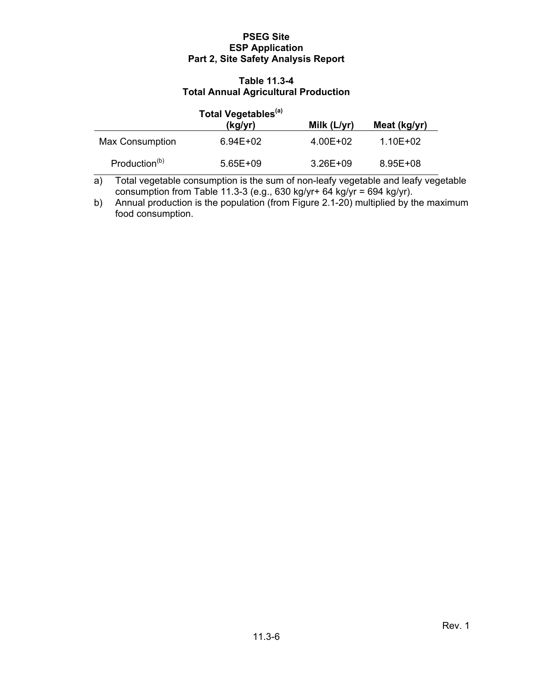#### **Table 11.3-4 Total Annual Agricultural Production**

|                           | Total Vegetables <sup>(a)</sup><br>(kg/yr) | Milk (L/yr) | Meat (kg/yr) |
|---------------------------|--------------------------------------------|-------------|--------------|
| Max Consumption           | $6.94E + 02$                               | 4.00E+02    | 1.10E+02     |
| Production <sup>(b)</sup> | $5.65E + 09$                               | 3.26E+09    | 8.95E+08     |

a) Total vegetable consumption is the sum of non-leafy vegetable and leafy vegetable consumption from Table 11.3-3 (e.g., 630 kg/yr+ 64 kg/yr = 694 kg/yr).

b) Annual production is the population (from Figure 2.1-20) multiplied by the maximum food consumption.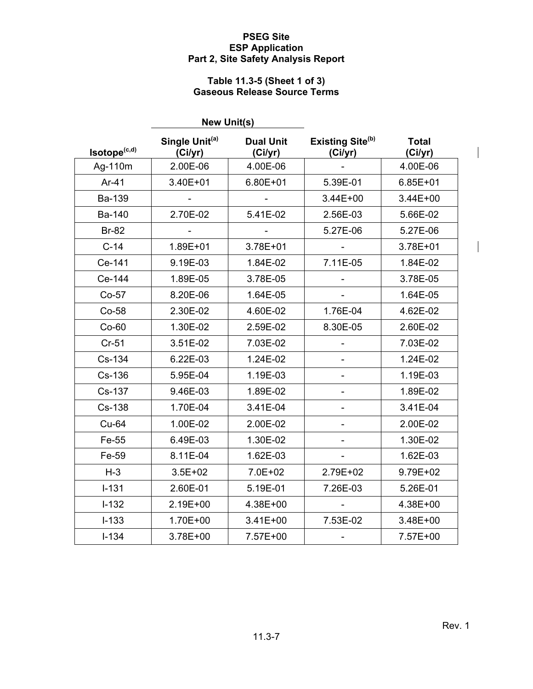#### **Table 11.3-5 (Sheet 1 of 3) Gaseous Release Source Terms**

|              | <b>New Unit(s)</b>                    |                             |                                         |                         |
|--------------|---------------------------------------|-----------------------------|-----------------------------------------|-------------------------|
| Isotope(c,d) | Single Unit <sup>(a)</sup><br>(Ci/yr) | <b>Dual Unit</b><br>(Ci/yr) | Existing Site <sup>(b)</sup><br>(Ci/yr) | <b>Total</b><br>(Ci/yr) |
| Ag-110m      | 2.00E-06                              | 4.00E-06                    |                                         | 4.00E-06                |
| Ar-41        | 3.40E+01                              | $6.80E + 01$                | 5.39E-01                                | $6.85E + 01$            |
| Ba-139       |                                       |                             | 3.44E+00                                | 3.44E+00                |
| Ba-140       | 2.70E-02                              | 5.41E-02                    | 2.56E-03                                | 5.66E-02                |
| <b>Br-82</b> |                                       |                             | 5.27E-06                                | 5.27E-06                |
| $C-14$       | 1.89E+01                              | 3.78E+01                    |                                         | 3.78E+01                |
| Ce-141       | 9.19E-03                              | 1.84E-02                    | 7.11E-05                                | 1.84E-02                |
| Ce-144       | 1.89E-05                              | 3.78E-05                    |                                         | 3.78E-05                |
| $Co-57$      | 8.20E-06                              | 1.64E-05                    |                                         | 1.64E-05                |
| Co-58        | 2.30E-02                              | 4.60E-02                    | 1.76E-04                                | 4.62E-02                |
| $Co-60$      | 1.30E-02                              | 2.59E-02                    | 8.30E-05                                | 2.60E-02                |
| $Cr-51$      | 3.51E-02                              | 7.03E-02                    |                                         | 7.03E-02                |
| Cs-134       | 6.22E-03                              | 1.24E-02                    |                                         | 1.24E-02                |
| Cs-136       | 5.95E-04                              | 1.19E-03                    | $\overline{\phantom{0}}$                | 1.19E-03                |
| Cs-137       | 9.46E-03                              | 1.89E-02                    |                                         | 1.89E-02                |
| Cs-138       | 1.70E-04                              | 3.41E-04                    |                                         | 3.41E-04                |
| <b>Cu-64</b> | 1.00E-02                              | 2.00E-02                    |                                         | 2.00E-02                |
| Fe-55        | 6.49E-03                              | 1.30E-02                    |                                         | 1.30E-02                |
| Fe-59        | 8.11E-04                              | 1.62E-03                    |                                         | 1.62E-03                |
| $H-3$        | $3.5E + 02$                           | 7.0E+02                     | 2.79E+02                                | 9.79E+02                |
| $I - 131$    | 2.60E-01                              | 5.19E-01                    | 7.26E-03                                | 5.26E-01                |
| $I-132$      | 2.19E+00                              | 4.38E+00                    |                                         | 4.38E+00                |
| $I-133$      | 1.70E+00                              | 3.41E+00                    | 7.53E-02                                | 3.48E+00                |
| $I - 134$    | 3.78E+00                              | 7.57E+00                    | $\qquad \qquad \blacksquare$            | 7.57E+00                |

 $\overline{\phantom{a}}$ 

 $\overline{\phantom{a}}$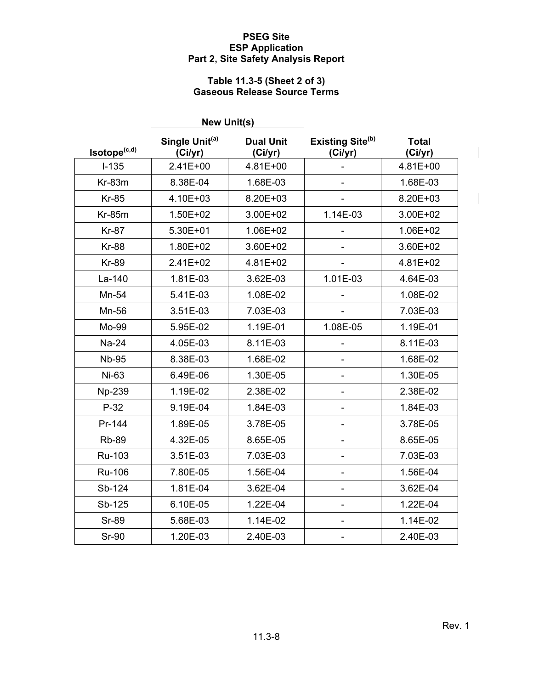# **Table 11.3-5 (Sheet 2 of 3) Gaseous Release Source Terms**

|              | <b>New Unit(s)</b>                    |                             |                                         |                         |
|--------------|---------------------------------------|-----------------------------|-----------------------------------------|-------------------------|
| Isotope(c,d) | Single Unit <sup>(a)</sup><br>(Ci/yr) | <b>Dual Unit</b><br>(Ci/yr) | Existing Site <sup>(b)</sup><br>(Ci/yr) | <b>Total</b><br>(Ci/yr) |
| $I-135$      | 2.41E+00                              | 4.81E+00                    |                                         | 4.81E+00                |
| Kr-83m       | 8.38E-04                              | 1.68E-03                    |                                         | 1.68E-03                |
| <b>Kr-85</b> | 4.10E+03                              | 8.20E+03                    |                                         | 8.20E+03                |
| $Kr-85m$     | 1.50E+02                              | 3.00E+02                    | 1.14E-03                                | 3.00E+02                |
| <b>Kr-87</b> | 5.30E+01                              | 1.06E+02                    |                                         | 1.06E+02                |
| <b>Kr-88</b> | 1.80E+02                              | 3.60E+02                    |                                         | 3.60E+02                |
| <b>Kr-89</b> | 2.41E+02                              | 4.81E+02                    |                                         | 4.81E+02                |
| La-140       | 1.81E-03                              | 3.62E-03                    | 1.01E-03                                | 4.64E-03                |
| Mn-54        | 5.41E-03                              | 1.08E-02                    |                                         | 1.08E-02                |
| Mn-56        | 3.51E-03                              | 7.03E-03                    |                                         | 7.03E-03                |
| Mo-99        | 5.95E-02                              | 1.19E-01                    | 1.08E-05                                | 1.19E-01                |
| <b>Na-24</b> | 4.05E-03                              | 8.11E-03                    |                                         | 8.11E-03                |
| <b>Nb-95</b> | 8.38E-03                              | 1.68E-02                    | $\overline{\phantom{0}}$                | 1.68E-02                |
| Ni-63        | 6.49E-06                              | 1.30E-05                    |                                         | 1.30E-05                |
| Np-239       | 1.19E-02                              | 2.38E-02                    | $\overline{a}$                          | 2.38E-02                |
| $P-32$       | 9.19E-04                              | 1.84E-03                    |                                         | 1.84E-03                |
| Pr-144       | 1.89E-05                              | 3.78E-05                    |                                         | 3.78E-05                |
| <b>Rb-89</b> | 4.32E-05                              | 8.65E-05                    | $\overline{\phantom{a}}$                | 8.65E-05                |
| Ru-103       | 3.51E-03                              | 7.03E-03                    |                                         | 7.03E-03                |
| Ru-106       | 7.80E-05                              | 1.56E-04                    |                                         | 1.56E-04                |
| Sb-124       | 1.81E-04                              | 3.62E-04                    |                                         | 3.62E-04                |
| Sb-125       | 6.10E-05                              | 1.22E-04                    |                                         | 1.22E-04                |
| <b>Sr-89</b> | 5.68E-03                              | 1.14E-02                    | $\overline{\phantom{a}}$                | 1.14E-02                |
| <b>Sr-90</b> | 1.20E-03                              | 2.40E-03                    | ۰                                       | 2.40E-03                |

 $\overline{\phantom{a}}$ 

 $\overline{\phantom{a}}$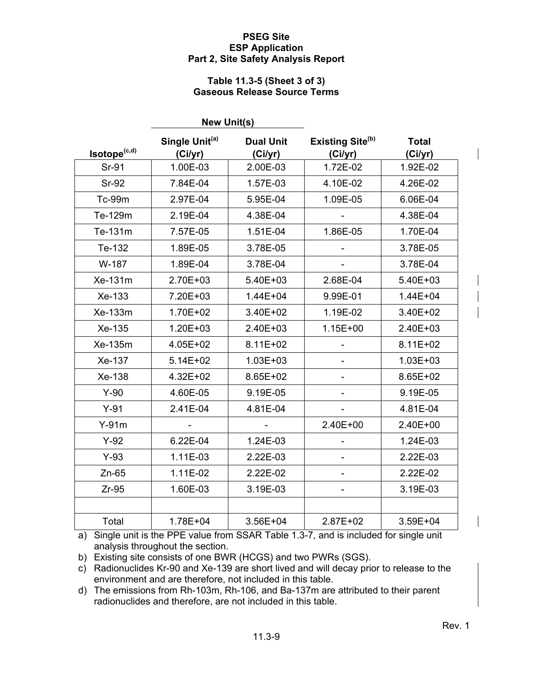#### **Table 11.3-5 (Sheet 3 of 3) Gaseous Release Source Terms**

|                          | <b>New Unit(s)</b>                    |                             |                                         |                         |
|--------------------------|---------------------------------------|-----------------------------|-----------------------------------------|-------------------------|
| Isotope <sup>(c,d)</sup> | Single Unit <sup>(a)</sup><br>(Ci/yr) | <b>Dual Unit</b><br>(Ci/yr) | Existing Site <sup>(b)</sup><br>(Ci/yr) | <b>Total</b><br>(Ci/yr) |
| Sr-91                    | 1.00E-03                              | 2.00E-03                    | 1.72E-02                                | 1.92E-02                |
| <b>Sr-92</b>             | 7.84E-04                              | 1.57E-03                    | 4.10E-02                                | 4.26E-02                |
| <b>Tc-99m</b>            | 2.97E-04                              | 5.95E-04                    | 1.09E-05                                | 6.06E-04                |
| Te-129m                  | 2.19E-04                              | 4.38E-04                    |                                         | 4.38E-04                |
| Te-131m                  | 7.57E-05                              | 1.51E-04                    | 1.86E-05                                | 1.70E-04                |
| Te-132                   | 1.89E-05                              | 3.78E-05                    |                                         | 3.78E-05                |
| W-187                    | 1.89E-04                              | 3.78E-04                    |                                         | 3.78E-04                |
| Xe-131m                  | 2.70E+03                              | 5.40E+03                    | 2.68E-04                                | 5.40E+03                |
| Xe-133                   | 7.20E+03                              | $1.44E + 04$                | 9.99E-01                                | 1.44E+04                |
| Xe-133m                  | 1.70E+02                              | 3.40E+02                    | 1.19E-02                                | 3.40E+02                |
| Xe-135                   | 1.20E+03                              | 2.40E+03                    | 1.15E+00                                | 2.40E+03                |
| Xe-135m                  | 4.05E+02                              | 8.11E+02                    |                                         | 8.11E+02                |
| Xe-137                   | $5.14E + 02$                          | $1.03E + 03$                |                                         | $1.03E + 03$            |
| Xe-138                   | 4.32E+02                              | 8.65E+02                    |                                         | 8.65E+02                |
| $Y-90$                   | 4.60E-05                              | 9.19E-05                    |                                         | 9.19E-05                |
| $Y-91$                   | 2.41E-04                              | 4.81E-04                    |                                         | 4.81E-04                |
| $Y-91m$                  |                                       |                             | 2.40E+00                                | 2.40E+00                |
| $Y-92$                   | 6.22E-04                              | 1.24E-03                    |                                         | 1.24E-03                |
| $Y-93$                   | 1.11E-03                              | 2.22E-03                    |                                         | 2.22E-03                |
| $Zn-65$                  | 1.11E-02                              | 2.22E-02                    | $\overline{\phantom{m}}$                | 2.22E-02                |
| $Zr-95$                  | 1.60E-03                              | 3.19E-03                    | $\overline{\phantom{0}}$                | 3.19E-03                |
|                          |                                       |                             |                                         |                         |
| Total                    | 1.78E+04                              | 3.56E+04                    | 2.87E+02                                | 3.59E+04                |

a) Single unit is the PPE value from SSAR Table 1.3-7, and is included for single unit analysis throughout the section.

b) Existing site consists of one BWR (HCGS) and two PWRs (SGS).

c) Radionuclides Kr-90 and Xe-139 are short lived and will decay prior to release to the environment and are therefore, not included in this table.

d) The emissions from Rh-103m, Rh-106, and Ba-137m are attributed to their parent radionuclides and therefore, are not included in this table.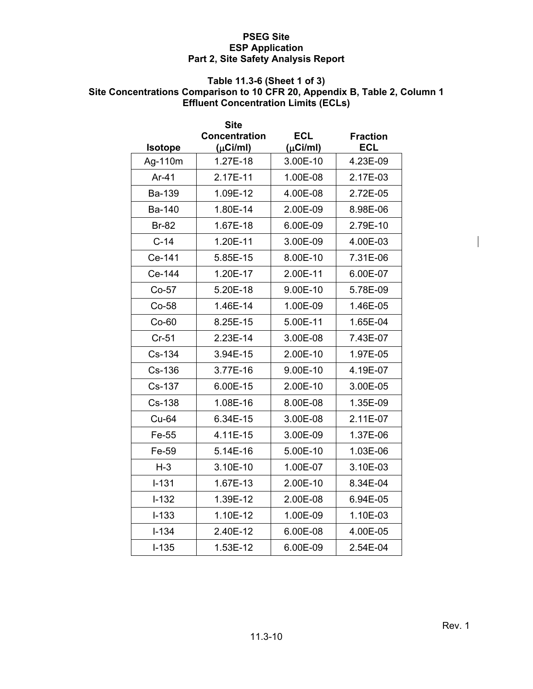# **Table 11.3-6 (Sheet 1 of 3)**

# **Site Concentrations Comparison to 10 CFR 20, Appendix B, Table 2, Column 1 Effluent Concentration Limits (ECLs)**

|                | <b>Site</b>          |               |                 |
|----------------|----------------------|---------------|-----------------|
|                | <b>Concentration</b> | <b>ECL</b>    | <b>Fraction</b> |
| <b>Isotope</b> | $(\mu$ Ci/ml)        | $(\mu$ Ci/ml) | <b>ECL</b>      |
| Ag-110m        | 1.27E-18             | 3.00E-10      | 4.23E-09        |
| $Ar-41$        | 2.17E-11             | 1.00E-08      | 2.17E-03        |
| <b>Ba-139</b>  | 1.09E-12             | 4.00E-08      | 2.72E-05        |
| Ba-140         | 1.80E-14             | 2.00E-09      | 8.98E-06        |
| <b>Br-82</b>   | 1.67E-18             | 6.00E-09      | 2.79E-10        |
| $C-14$         | 1.20E-11             | 3.00E-09      | 4.00E-03        |
| Ce-141         | 5.85E-15             | 8.00E-10      | 7.31E-06        |
| Ce-144         | 1.20E-17             | 2.00E-11      | 6.00E-07        |
| $Co-57$        | 5.20E-18             | 9.00E-10      | 5.78E-09        |
| Co-58          | 1.46E-14             | 1.00E-09      | 1.46E-05        |
| $Co-60$        | 8.25E-15             | 5.00E-11      | 1.65E-04        |
| $Cr-51$        | 2.23E-14             | 3.00E-08      | 7.43E-07        |
| Cs-134         | 3.94E-15             | 2.00E-10      | 1.97E-05        |
| Cs-136         | 3.77E-16             | 9.00E-10      | 4.19E-07        |
| Cs-137         | 6.00E-15             | 2.00E-10      | 3.00E-05        |
| Cs-138         | 1.08E-16             | 8.00E-08      | 1.35E-09        |
| Cu-64          | 6.34E-15             | 3.00E-08      | 2.11E-07        |
| Fe-55          | 4.11E-15             | 3.00E-09      | 1.37E-06        |
| Fe-59          | 5.14E-16             | 5.00E-10      | 1.03E-06        |
| $H-3$          | 3.10E-10             | 1.00E-07      | 3.10E-03        |
| $I - 131$      | 1.67E-13             | 2.00E-10      | 8.34E-04        |
| $I-132$        | 1.39E-12             | 2.00E-08      | 6.94E-05        |
| $I - 133$      | 1.10E-12             | 1.00E-09      | 1.10E-03        |
| $I - 134$      | 2.40E-12             | 6.00E-08      | 4.00E-05        |
| $I - 135$      | 1.53E-12             | 6.00E-09      | 2.54E-04        |

 $\overline{\phantom{a}}$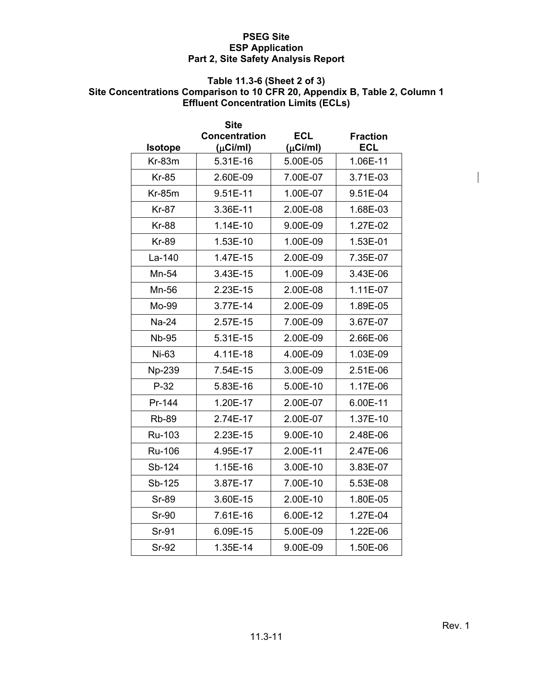# **Table 11.3-6 (Sheet 2 of 3)**

# **Site Concentrations Comparison to 10 CFR 20, Appendix B, Table 2, Column 1 Effluent Concentration Limits (ECLs)**

|                | <b>Site</b>          |               |                 |
|----------------|----------------------|---------------|-----------------|
|                | <b>Concentration</b> | <b>ECL</b>    | <b>Fraction</b> |
| <b>Isotope</b> | $(\mu$ Ci/ml)        | $(\mu$ Ci/ml) | <b>ECL</b>      |
| $Kr-83m$       | 5.31E-16             | 5.00E-05      | 1.06E-11        |
| <b>Kr-85</b>   | 2.60E-09             | 7.00E-07      | 3.71E-03        |
| $Kr-85m$       | 9.51E-11             | 1.00E-07      | 9.51E-04        |
| <b>Kr-87</b>   | 3.36E-11             | 2.00E-08      | 1.68E-03        |
| <b>Kr-88</b>   | 1.14E-10             | 9.00E-09      | 1.27E-02        |
| <b>Kr-89</b>   | 1.53E-10             | 1.00E-09      | 1.53E-01        |
| La-140         | 1.47E-15             | 2.00E-09      | 7.35E-07        |
| Mn-54          | 3.43E-15             | 1.00E-09      | 3.43E-06        |
| Mn-56          | 2.23E-15             | 2.00E-08      | 1.11E-07        |
| Mo-99          | 3.77E-14             | 2.00E-09      | 1.89E-05        |
| Na-24          | 2.57E-15             | 7.00E-09      | 3.67E-07        |
| <b>Nb-95</b>   | 5.31E-15             | 2.00E-09      | 2.66E-06        |
| Ni-63          | 4.11E-18             | 4.00E-09      | 1.03E-09        |
| Np-239         | 7.54E-15             | 3.00E-09      | 2.51E-06        |
| $P-32$         | 5.83E-16             | 5.00E-10      | 1.17E-06        |
| Pr-144         | 1.20E-17             | 2.00E-07      | 6.00E-11        |
| <b>Rb-89</b>   | 2.74E-17             | 2.00E-07      | 1.37E-10        |
| Ru-103         | 2.23E-15             | 9.00E-10      | 2.48E-06        |
| Ru-106         | 4.95E-17             | 2.00E-11      | 2.47E-06        |
| Sb-124         | 1.15E-16             | 3.00E-10      | 3.83E-07        |
| Sb-125         | 3.87E-17             | 7.00E-10      | 5.53E-08        |
| <b>Sr-89</b>   | 3.60E-15             | 2.00E-10      | 1.80E-05        |
| <b>Sr-90</b>   | 7.61E-16             | 6.00E-12      | 1.27E-04        |
| Sr-91          | 6.09E-15             | 5.00E-09      | 1.22E-06        |
| <b>Sr-92</b>   | 1.35E-14             | 9.00E-09      | 1.50E-06        |

 $\mathbf{I}$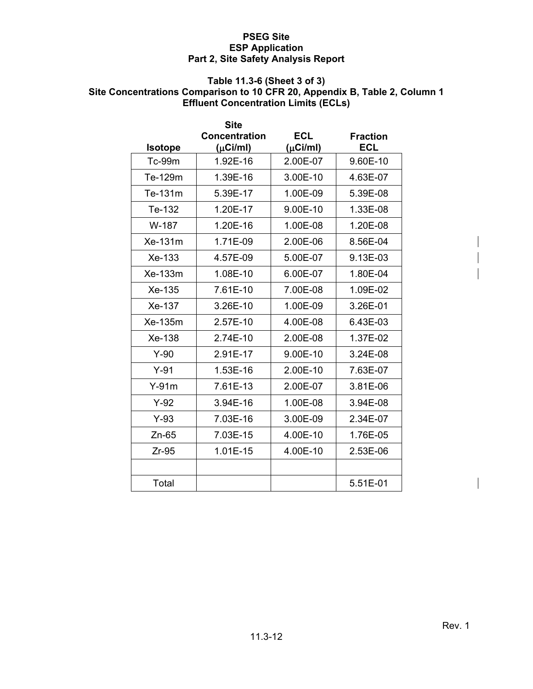# **Table 11.3-6 (Sheet 3 of 3)**

#### **Site Concentrations Comparison to 10 CFR 20, Appendix B, Table 2, Column 1 Effluent Concentration Limits (ECLs)**

|                | <b>Site</b>          |               |                 |
|----------------|----------------------|---------------|-----------------|
|                | <b>Concentration</b> | <b>ECL</b>    | <b>Fraction</b> |
| <b>Isotope</b> | $(\mu$ Ci/ml)        | $(\mu$ Ci/ml) | ECL             |
| <b>Tc-99m</b>  | 1.92E-16             | 2.00E-07      | 9.60E-10        |
| Te-129m        | 1.39E-16             | 3.00E-10      | 4.63E-07        |
| Te-131m        | 5.39E-17             | 1.00E-09      | 5.39E-08        |
| Te-132         | 1.20E-17             | 9.00E-10      | 1.33E-08        |
| W-187          | 1.20E-16             | 1.00E-08      | 1.20E-08        |
| Xe-131m        | 1.71E-09             | 2.00E-06      | 8.56E-04        |
| Xe-133         | 4.57E-09             | 5.00E-07      | 9.13E-03        |
| Xe-133m        | 1.08E-10             | 6.00E-07      | 1.80E-04        |
| Xe-135         | 7.61E-10             | 7.00E-08      | 1.09E-02        |
| Xe-137         | 3.26E-10             | 1.00E-09      | 3.26E-01        |
| Xe-135m        | 2.57E-10             | 4.00E-08      | 6.43E-03        |
| Xe-138         | 2.74E-10             | 2.00E-08      | 1.37E-02        |
| $Y-90$         | 2.91E-17             | 9.00E-10      | 3.24E-08        |
| $Y-91$         | 1.53E-16             | 2.00E-10      | 7.63E-07        |
| $Y-91m$        | 7.61E-13             | 2.00E-07      | 3.81E-06        |
| $Y-92$         | 3.94E-16             | 1.00E-08      | 3.94E-08        |
| $Y-93$         | 7.03E-16             | 3.00E-09      | 2.34E-07        |
| $Zn-65$        | 7.03E-15             | 4.00E-10      | 1.76E-05        |
| $Zr-95$        | 1.01E-15             | 4.00E-10      | 2.53E-06        |
|                |                      |               |                 |
| Total          |                      |               | 5.51E-01        |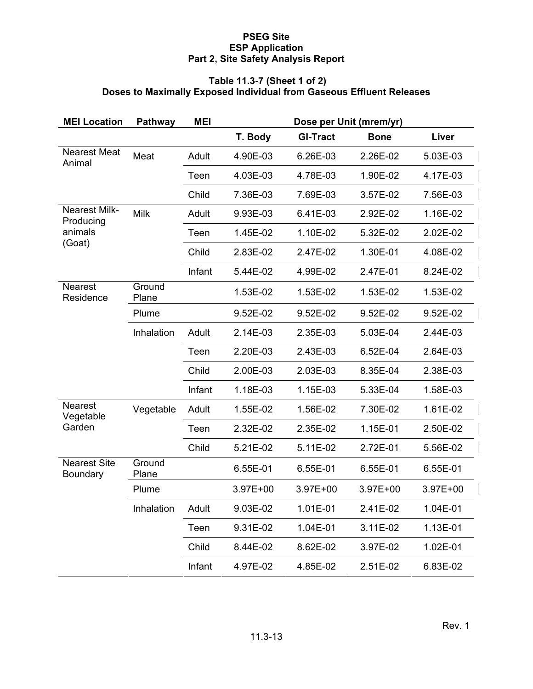#### **Table 11.3-7 (Sheet 1 of 2) Doses to Maximally Exposed Individual from Gaseous Effluent Releases**

| <b>MEI Location</b>               | Pathway         | <b>MEI</b> | Dose per Unit (mrem/yr) |                 |             |          |
|-----------------------------------|-----------------|------------|-------------------------|-----------------|-------------|----------|
|                                   |                 |            | T. Body                 | <b>GI-Tract</b> | <b>Bone</b> | Liver    |
| <b>Nearest Meat</b><br>Animal     | Meat            | Adult      | 4.90E-03                | 6.26E-03        | 2.26E-02    | 5.03E-03 |
|                                   |                 | Teen       | 4.03E-03                | 4.78E-03        | 1.90E-02    | 4.17E-03 |
|                                   |                 | Child      | 7.36E-03                | 7.69E-03        | 3.57E-02    | 7.56E-03 |
| <b>Nearest Milk-</b><br>Producing | <b>Milk</b>     | Adult      | 9.93E-03                | 6.41E-03        | 2.92E-02    | 1.16E-02 |
| animals<br>(Goat)                 |                 | Teen       | 1.45E-02                | 1.10E-02        | 5.32E-02    | 2.02E-02 |
|                                   |                 | Child      | 2.83E-02                | 2.47E-02        | 1.30E-01    | 4.08E-02 |
|                                   |                 | Infant     | 5.44E-02                | 4.99E-02        | 2.47E-01    | 8.24E-02 |
| <b>Nearest</b><br>Residence       | Ground<br>Plane |            | 1.53E-02                | 1.53E-02        | 1.53E-02    | 1.53E-02 |
|                                   | Plume           |            | 9.52E-02                | 9.52E-02        | 9.52E-02    | 9.52E-02 |
|                                   | Inhalation      | Adult      | 2.14E-03                | 2.35E-03        | 5.03E-04    | 2.44E-03 |
|                                   |                 | Teen       | 2.20E-03                | 2.43E-03        | 6.52E-04    | 2.64E-03 |
|                                   |                 | Child      | 2.00E-03                | 2.03E-03        | 8.35E-04    | 2.38E-03 |
|                                   |                 | Infant     | 1.18E-03                | 1.15E-03        | 5.33E-04    | 1.58E-03 |
| <b>Nearest</b><br>Vegetable       | Vegetable       | Adult      | 1.55E-02                | 1.56E-02        | 7.30E-02    | 1.61E-02 |
| Garden                            |                 | Teen       | 2.32E-02                | 2.35E-02        | 1.15E-01    | 2.50E-02 |
|                                   |                 | Child      | 5.21E-02                | 5.11E-02        | 2.72E-01    | 5.56E-02 |
| <b>Nearest Site</b><br>Boundary   | Ground<br>Plane |            | 6.55E-01                | 6.55E-01        | 6.55E-01    | 6.55E-01 |
|                                   | Plume           |            | 3.97E+00                | 3.97E+00        | 3.97E+00    | 3.97E+00 |
|                                   | Inhalation      | Adult      | 9.03E-02                | 1.01E-01        | 2.41E-02    | 1.04E-01 |
|                                   |                 | Teen       | 9.31E-02                | 1.04E-01        | 3.11E-02    | 1.13E-01 |
|                                   |                 | Child      | 8.44E-02                | 8.62E-02        | 3.97E-02    | 1.02E-01 |
|                                   |                 | Infant     | 4.97E-02                | 4.85E-02        | 2.51E-02    | 6.83E-02 |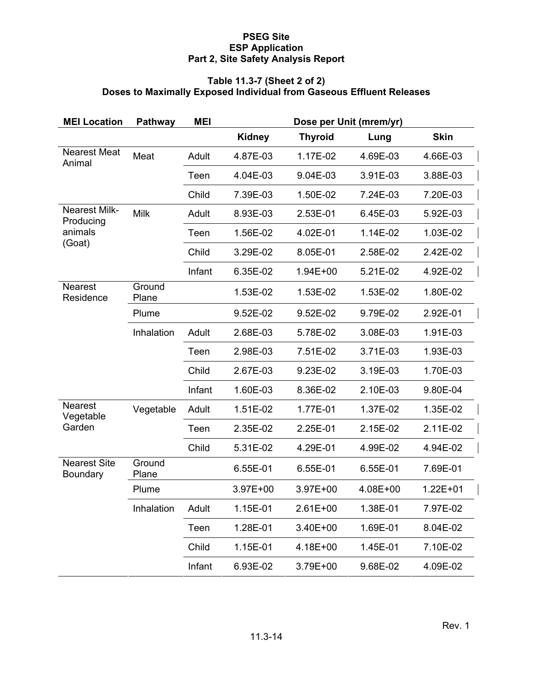#### **Table 11.3-7 (Sheet 2 of 2) Doses to Maximally Exposed Individual from Gaseous Effluent Releases**

| <b>MEI Location</b>               | Pathway         | <b>MEI</b> | Dose per Unit (mrem/yr) |                |          |             |
|-----------------------------------|-----------------|------------|-------------------------|----------------|----------|-------------|
|                                   |                 |            | <b>Kidney</b>           | <b>Thyroid</b> | Lung     | <b>Skin</b> |
| <b>Nearest Meat</b><br>Animal     | Meat            | Adult      | 4.87E-03                | 1.17E-02       | 4.69E-03 | 4.66E-03    |
|                                   |                 | Teen       | 4.04E-03                | 9.04E-03       | 3.91E-03 | 3.88E-03    |
|                                   |                 | Child      | 7.39E-03                | 1.50E-02       | 7.24E-03 | 7.20E-03    |
| <b>Nearest Milk-</b><br>Producing | <b>Milk</b>     | Adult      | 8.93E-03                | 2.53E-01       | 6.45E-03 | 5.92E-03    |
| animals<br>(Goat)                 |                 | Teen       | 1.56E-02                | 4.02E-01       | 1.14E-02 | 1.03E-02    |
|                                   |                 | Child      | 3.29E-02                | 8.05E-01       | 2.58E-02 | 2.42E-02    |
|                                   |                 | Infant     | 6.35E-02                | 1.94E+00       | 5.21E-02 | 4.92E-02    |
| <b>Nearest</b><br>Residence       | Ground<br>Plane |            | 1.53E-02                | 1.53E-02       | 1.53E-02 | 1.80E-02    |
|                                   | Plume           |            | 9.52E-02                | 9.52E-02       | 9.79E-02 | 2.92E-01    |
|                                   | Inhalation      | Adult      | 2.68E-03                | 5.78E-02       | 3.08E-03 | 1.91E-03    |
|                                   |                 | Teen       | 2.98E-03                | 7.51E-02       | 3.71E-03 | 1.93E-03    |
|                                   |                 | Child      | 2.67E-03                | 9.23E-02       | 3.19E-03 | 1.70E-03    |
|                                   |                 | Infant     | 1.60E-03                | 8.36E-02       | 2.10E-03 | 9.80E-04    |
| <b>Nearest</b><br>Vegetable       | Vegetable       | Adult      | 1.51E-02                | 1.77E-01       | 1.37E-02 | 1.35E-02    |
| Garden                            |                 | Teen       | 2.35E-02                | 2.25E-01       | 2.15E-02 | 2.11E-02    |
|                                   |                 | Child      | 5.31E-02                | 4.29E-01       | 4.99E-02 | 4.94E-02    |
| <b>Nearest Site</b><br>Boundary   | Ground<br>Plane |            | 6.55E-01                | 6.55E-01       | 6.55E-01 | 7.69E-01    |
|                                   | Plume           |            | 3.97E+00                | 3.97E+00       | 4.08E+00 | 1.22E+01    |
|                                   | Inhalation      | Adult      | 1.15E-01                | 2.61E+00       | 1.38E-01 | 7.97E-02    |
|                                   |                 | Teen       | 1.28E-01                | 3.40E+00       | 1.69E-01 | 8.04E-02    |
|                                   |                 | Child      | 1.15E-01                | 4.18E+00       | 1.45E-01 | 7.10E-02    |
|                                   |                 | Infant     | 6.93E-02                | 3.79E+00       | 9.68E-02 | 4.09E-02    |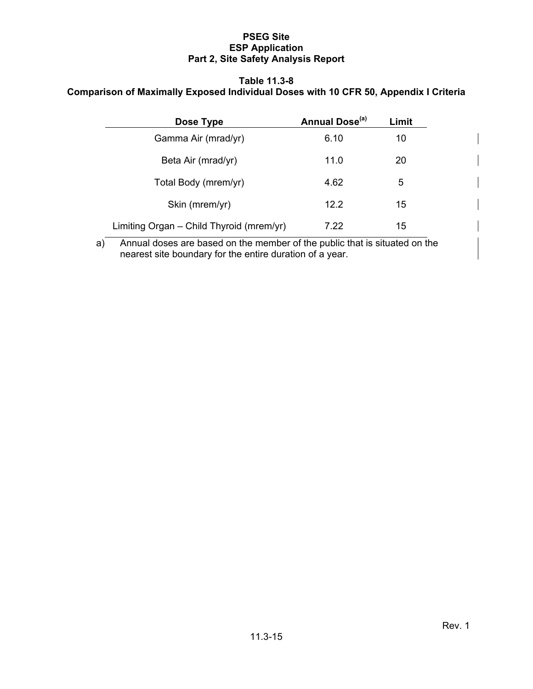#### **Table 11.3-8 Comparison of Maximally Exposed Individual Doses with 10 CFR 50, Appendix I Criteria**

| Dose Type                                | Annual Dose <sup>(a)</sup> | Limit |
|------------------------------------------|----------------------------|-------|
| Gamma Air (mrad/yr)                      | 6.10                       | 10    |
| Beta Air (mrad/yr)                       | 11.0                       | 20    |
| Total Body (mrem/yr)                     | 4.62                       | 5     |
| Skin (mrem/yr)                           | 12.2                       | 15    |
| Limiting Organ - Child Thyroid (mrem/yr) | 7.22                       | 15    |

a) Annual doses are based on the member of the public that is situated on the nearest site boundary for the entire duration of a year.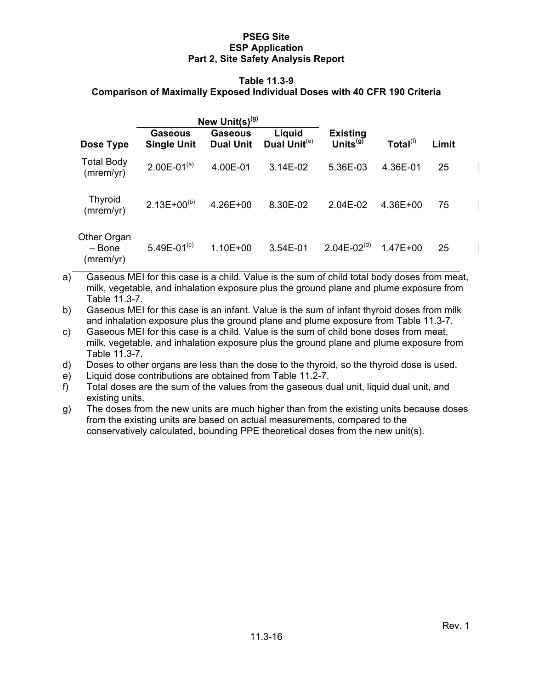#### **Table 11.3-9**

## **Comparison of Maximally Exposed Individual Doses with 40 CFR 190 Criteria**

|                                    | New Unit(s) <sup>(g)</sup>    |                             |                                    |                                     |                      |       |
|------------------------------------|-------------------------------|-----------------------------|------------------------------------|-------------------------------------|----------------------|-------|
| Dose Type                          | Gaseous<br><b>Single Unit</b> | Gaseous<br><b>Dual Unit</b> | Liquid<br>Dual Unit <sup>(e)</sup> | <b>Existing</b><br>Units ${}^{(g)}$ | Total <sup>(f)</sup> | Limit |
| <b>Total Body</b><br>(mrem/yr)     | $2.00E - 01^{(a)}$            | 4.00E-01                    | $3.14E-02$                         | 5.36E-03                            | 4.36E-01             | 25    |
| <b>Thyroid</b><br>(mrem/yr)        | $2.13E+00^{(b)}$              | $4.26E + 00$                | 8.30E-02                           | 2.04E-02                            | 4.36E+00             | 75    |
| Other Organ<br>- Bone<br>(mrem/yr) | 5.49E-01 $(c)$                | $1.10E + 00$                | 3.54E-01                           | $2.04E - 02(d)$                     | $1.47E + 00$         | 25    |

a) Gaseous MEI for this case is a child. Value is the sum of child total body doses from meat, milk, vegetable, and inhalation exposure plus the ground plane and plume exposure from Table 11.3-7.

b) Gaseous MEI for this case is an infant. Value is the sum of infant thyroid doses from milk and inhalation exposure plus the ground plane and plume exposure from Table 11.3-7.

c) Gaseous MEI for this case is a child. Value is the sum of child bone doses from meat, milk, vegetable, and inhalation exposure plus the ground plane and plume exposure from Table 11.3-7.

d) Doses to other organs are less than the dose to the thyroid, so the thyroid dose is used.

e) Liquid dose contributions are obtained from Table 11.2-7.

f) Total doses are the sum of the values from the gaseous dual unit, liquid dual unit, and existing units.

g) The doses from the new units are much higher than from the existing units because doses from the existing units are based on actual measurements, compared to the conservatively calculated, bounding PPE theoretical doses from the new unit(s).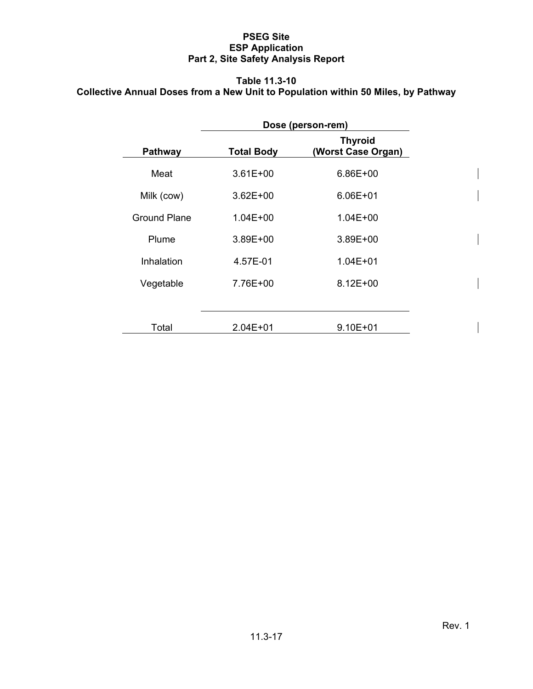# **Table 11.3-10 Collective Annual Doses from a New Unit to Population within 50 Miles, by Pathway**

|                | Dose (person-rem) |                                      |  |  |
|----------------|-------------------|--------------------------------------|--|--|
| <b>Pathway</b> | <b>Total Body</b> | <b>Thyroid</b><br>(Worst Case Organ) |  |  |
| Meat           | $3.61E + 00$      | 6.86E+00                             |  |  |
| Milk (cow)     | $3.62E + 00$      | 6.06E+01                             |  |  |
| Ground Plane   | $1.04E + 00$      | $1.04E + 00$                         |  |  |
| Plume          | $3.89E + 00$      | $3.89E + 00$                         |  |  |
| Inhalation     | 4.57E-01          | $1.04E + 01$                         |  |  |
| Vegetable      | 7.76E+00          | $8.12E + 00$                         |  |  |
|                |                   |                                      |  |  |
| Total          | $2.04E + 01$      | $9.10E + 01$                         |  |  |

 $\overline{\phantom{a}}$ 

 $\overline{\phantom{a}}$ 

 $\overline{\phantom{a}}$ 

 $\overline{\phantom{a}}$